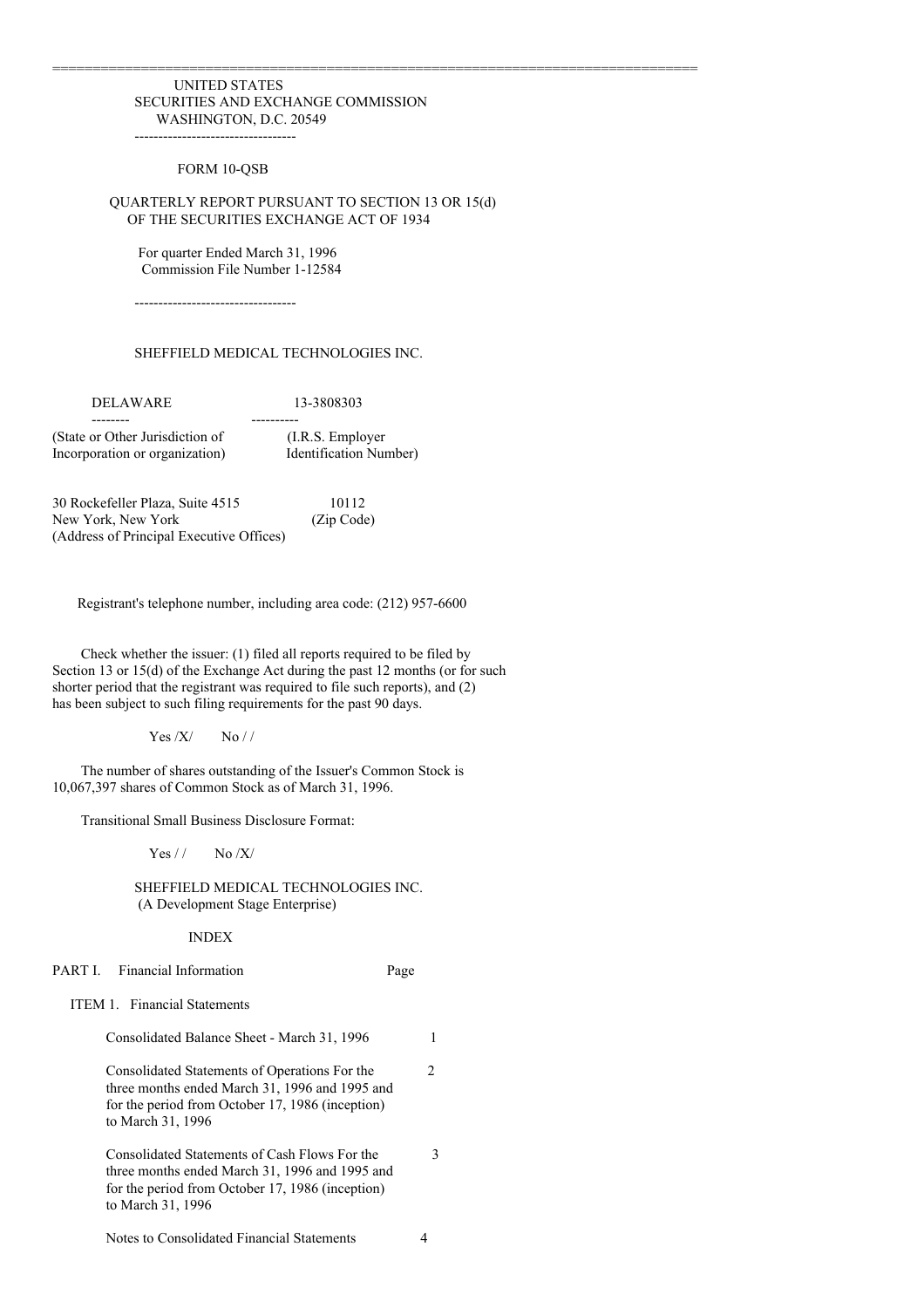#### UNITED STATES SECURITIES AND EXCHANGE COMMISSION WASHINGTON, D.C. 20549

----------------------------------

#### FORM 10-QSB

## QUARTERLY REPORT PURSUANT TO SECTION 13 OR 15(d) OF THE SECURITIES EXCHANGE ACT OF 1934

================================================================================

For quarter Ended March 31, 1996 Commission File Number 1-12584

----------------------------------

## SHEFFIELD MEDICAL TECHNOLOGIES INC.

DELAWARE 13-3808303 -------- ---------- (State or Other Jurisdiction of (I.R.S. Employer Incorporation or organization) Identification Number)

30 Rockefeller Plaza, Suite 4515 10112 New York, New York (Zip Code) (Address of Principal Executive Offices)

Registrant's telephone number, including area code: (212) 957-6600

Check whether the issuer: (1) filed all reports required to be filed by Section 13 or 15(d) of the Exchange Act during the past 12 months (or for such shorter period that the registrant was required to file such reports), and (2) has been subject to such filing requirements for the past 90 days.

 $Yes / X / No / /$ 

The number of shares outstanding of the Issuer's Common Stock is 10,067,397 shares of Common Stock as of March 31, 1996.

Transitional Small Business Disclosure Format:

 $Yes / / No / X/$ 

SHEFFIELD MEDICAL TECHNOLOGIES INC. (A Development Stage Enterprise)

INDEX

PART I. Financial Information Page

ITEM 1. Financial Statements

| Consolidated Balance Sheet - March 31, 1996                                                                                                                              |    |
|--------------------------------------------------------------------------------------------------------------------------------------------------------------------------|----|
| Consolidated Statements of Operations For the<br>three months ended March 31, 1996 and 1995 and<br>for the period from October 17, 1986 (inception)<br>to March 31, 1996 | 2. |
| Consolidated Statements of Cash Flows For the<br>three months ended March 31, 1996 and 1995 and<br>for the period from October 17, 1986 (inception)<br>to March 31, 1996 | 3  |
|                                                                                                                                                                          |    |

Notes to Consolidated Financial Statements 4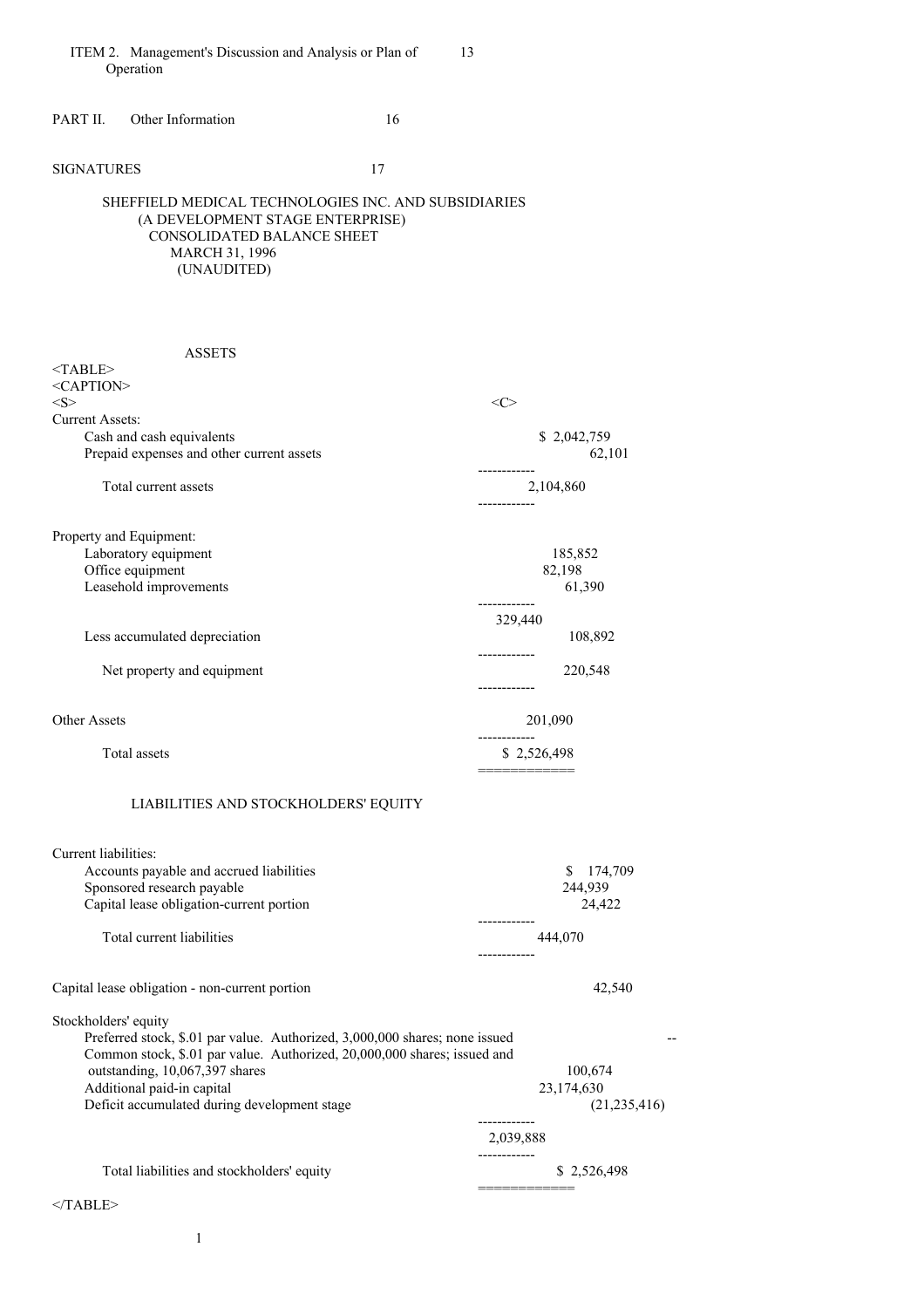PART II. Other Information 16

SIGNATURES 17

<TABLE>

## SHEFFIELD MEDICAL TECHNOLOGIES INC. AND SUBSIDIARIES (A DEVELOPMENT STAGE ENTERPRISE) CONSOLIDATED BALANCE SHEET MARCH 31, 1996 (UNAUDITED)

## ASSETS

| $<$ CAPTION>                              |                                    |
|-------------------------------------------|------------------------------------|
| <s></s>                                   | <c< td=""></c<>                    |
| <b>Current Assets:</b>                    |                                    |
| Cash and cash equivalents                 | \$2,042,759                        |
| Prepaid expenses and other current assets | 62,101                             |
| Total current assets                      | ---------<br>2,104,860<br>-------- |
| Property and Equipment:                   |                                    |
| Laboratory equipment                      | 185,852                            |
| Office equipment                          | 82,198                             |
| Leasehold improvements                    | 61,390                             |
|                                           | 329,440                            |
| Less accumulated depreciation             | 108,892                            |
| Net property and equipment                | ----------<br>220,548              |
| <b>Other Assets</b>                       | 201,090                            |
| Total assets                              | \$2,526,498                        |
|                                           |                                    |

# LIABILITIES AND STOCKHOLDERS' EQUITY

| Current liabilities:<br>Accounts payable and accrued liabilities<br>Sponsored research payable<br>Capital lease obligation-current portion | 174,709<br>S<br>244,939<br>24,422 |
|--------------------------------------------------------------------------------------------------------------------------------------------|-----------------------------------|
| Total current liabilities                                                                                                                  | --------<br>444,070               |
|                                                                                                                                            | ------------                      |
| Capital lease obligation - non-current portion                                                                                             | 42,540                            |
| Stockholders' equity                                                                                                                       |                                   |
| Preferred stock, \$.01 par value. Authorized, 3,000,000 shares; none issued                                                                |                                   |
| Common stock, \$.01 par value. Authorized, 20,000,000 shares; issued and                                                                   |                                   |
| outstanding, 10,067,397 shares                                                                                                             | 100,674                           |
| Additional paid-in capital                                                                                                                 | 23,174,630                        |
| Deficit accumulated during development stage                                                                                               | (21, 235, 416)                    |
|                                                                                                                                            | 2,039,888                         |
| Total liabilities and stockholders' equity                                                                                                 | .<br>\$2,526,498                  |

 $<$ /TABLE>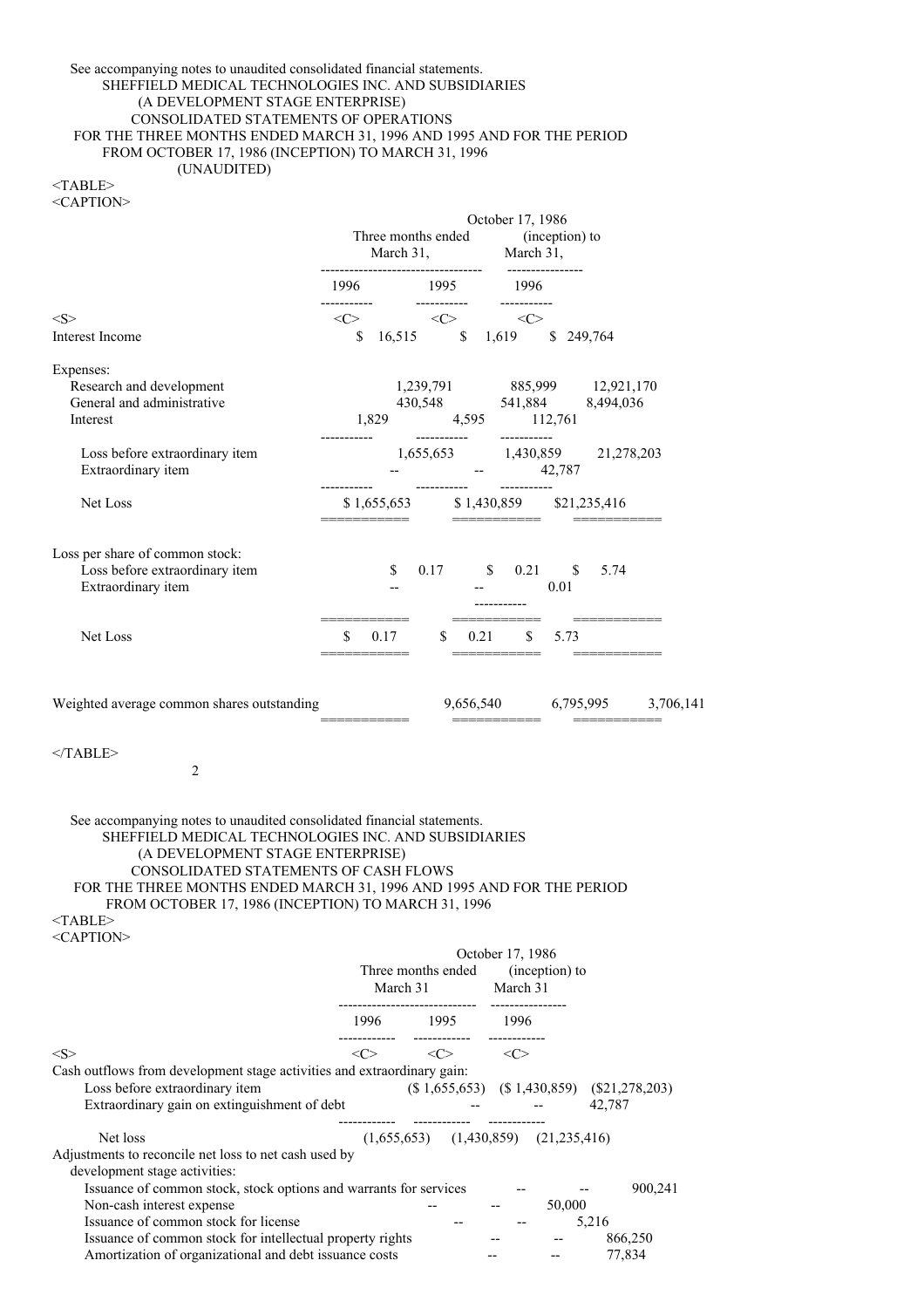## See accompanying notes to unaudited consolidated financial statements. SHEFFIELD MEDICAL TECHNOLOGIES INC. AND SUBSIDIARIES (A DEVELOPMENT STAGE ENTERPRISE) CONSOLIDATED STATEMENTS OF OPERATIONS FOR THE THREE MONTHS ENDED MARCH 31, 1996 AND 1995 AND FOR THE PERIOD FROM OCTOBER 17, 1986 (INCEPTION) TO MARCH 31, 1996 (UNAUDITED)

<TABLE> <CAPTION>

|                                                                    |                                                                                            |                                                                                                         |              |      | October 17, 1986           |      |                                                                                                                                                                                                                                                                           |                               |
|--------------------------------------------------------------------|--------------------------------------------------------------------------------------------|---------------------------------------------------------------------------------------------------------|--------------|------|----------------------------|------|---------------------------------------------------------------------------------------------------------------------------------------------------------------------------------------------------------------------------------------------------------------------------|-------------------------------|
|                                                                    | Three months ended (inception) to<br>March 31, March 31,<br>------------------------------ |                                                                                                         |              |      |                            |      |                                                                                                                                                                                                                                                                           |                               |
|                                                                    |                                                                                            | 1996 1995 1996                                                                                          | ------------ |      |                            |      |                                                                                                                                                                                                                                                                           |                               |
| < S ><br><b>Interest Income</b>                                    |                                                                                            | $\text{<}\text{C}> \text{~~}\text{<}\text{C}> \text{~~}\text{<}\text{C}>$<br>\$16,515 \$1,619 \$249,764 |              |      |                            |      |                                                                                                                                                                                                                                                                           |                               |
| Expenses:                                                          |                                                                                            |                                                                                                         |              |      |                            |      |                                                                                                                                                                                                                                                                           |                               |
| Research and development<br>General and administrative<br>Interest |                                                                                            |                                                                                                         |              |      |                            |      | $\begin{array}{cccc} 1{,}239{,}791 & 885{,}999 & 12{,}921{,}170 \\ 430{,}548 & 541{,}884 & 8{,}494{,}036 \\ 1{,}829 & 4{,}595 & 112{,}761 \\ \text{\hspace{1.5cm}\textbf{2.5cm}} & \text{\hspace{1.5cm}\textbf{3.5cm}} & \text{\hspace{1.5cm}\textbf{4.5cm}} \end{array}$ |                               |
| Loss before extraordinary item<br>Extraordinary item               |                                                                                            |                                                                                                         |              |      | $-42,787$                  |      | 1,655,653 1,430,859 21,278,203                                                                                                                                                                                                                                            |                               |
| Net Loss                                                           |                                                                                            | ____________                                                                                            |              |      | <del>▃▖▃▖▃▃▃▃▃▃▃▃▃▃▃</del> |      | \$1,655,653 \$1,430,859 \$21,235,416                                                                                                                                                                                                                                      |                               |
| Loss per share of common stock:<br>Loss before extraordinary item  |                                                                                            | \$                                                                                                      |              |      | 0.17 \$ 0.21 \$ 5.74       |      |                                                                                                                                                                                                                                                                           |                               |
| Extraordinary item                                                 |                                                                                            |                                                                                                         |              |      | <b>All Committee</b>       | 0.01 |                                                                                                                                                                                                                                                                           |                               |
| Net Loss                                                           | \$                                                                                         | 0.17                                                                                                    | S.           | 0.21 | $\mathbb{S}$               | 5.73 |                                                                                                                                                                                                                                                                           |                               |
| Weighted average common shares outstanding                         |                                                                                            |                                                                                                         |              |      |                            |      | ===========                                                                                                                                                                                                                                                               | 9,656,540 6,795,995 3,706,141 |
| $<$ TABLE><br>$\overline{2}$                                       |                                                                                            |                                                                                                         |              |      |                            |      |                                                                                                                                                                                                                                                                           |                               |

See accompanying notes to unaudited consolidated financial statements. SHEFFIELD MEDICAL TECHNOLOGIES INC. AND SUBSIDIARIES (A DEVELOPMENT STAGE ENTERPRISE) CONSOLIDATED STATEMENTS OF CASH FLOWS FOR THE THREE MONTHS ENDED MARCH 31, 1996 AND 1995 AND FOR THE PERIOD FROM OCTOBER 17, 1986 (INCEPTION) TO MARCH 31, 1996

<TABLE> <CAPTION>

|                                                                         | October 17, 1986<br>Three months ended<br>(inception) to |                        |          |      |                                            |                                                    |         |
|-------------------------------------------------------------------------|----------------------------------------------------------|------------------------|----------|------|--------------------------------------------|----------------------------------------------------|---------|
|                                                                         | March 31                                                 |                        | March 31 |      |                                            |                                                    |         |
|                                                                         | 1996                                                     | ---------------------- | 1995     | 1996 |                                            |                                                    |         |
| $<\!\!S\!\!>$                                                           | <c></c>                                                  | $\langle C \rangle$    |          | <<>  |                                            |                                                    |         |
| Cash outflows from development stage activities and extraordinary gain: |                                                          |                        |          |      |                                            |                                                    |         |
| Loss before extraordinary item                                          |                                                          |                        |          |      |                                            | $(\$ 1,655,653)$ $(\$ 1,430,859)$ $(\$21,278,203)$ |         |
| Extraordinary gain on extinguishment of debt                            |                                                          |                        |          |      |                                            | 42,787                                             |         |
| Net loss                                                                |                                                          |                        |          |      | $(1,655,653)$ $(1,430,859)$ $(21,235,416)$ |                                                    |         |
| Adjustments to reconcile net loss to net cash used by                   |                                                          |                        |          |      |                                            |                                                    |         |
| development stage activities:                                           |                                                          |                        |          |      |                                            |                                                    |         |
| Issuance of common stock, stock options and warrants for services       |                                                          |                        |          |      |                                            |                                                    | 900,241 |
| Non-cash interest expense                                               |                                                          |                        |          |      | 50,000                                     |                                                    |         |
| Issuance of common stock for license                                    |                                                          |                        |          |      |                                            | 5,216                                              |         |
| Issuance of common stock for intellectual property rights               |                                                          |                        |          |      |                                            | 866,250                                            |         |
| Amortization of organizational and debt issuance costs                  |                                                          |                        |          |      |                                            | 77,834                                             |         |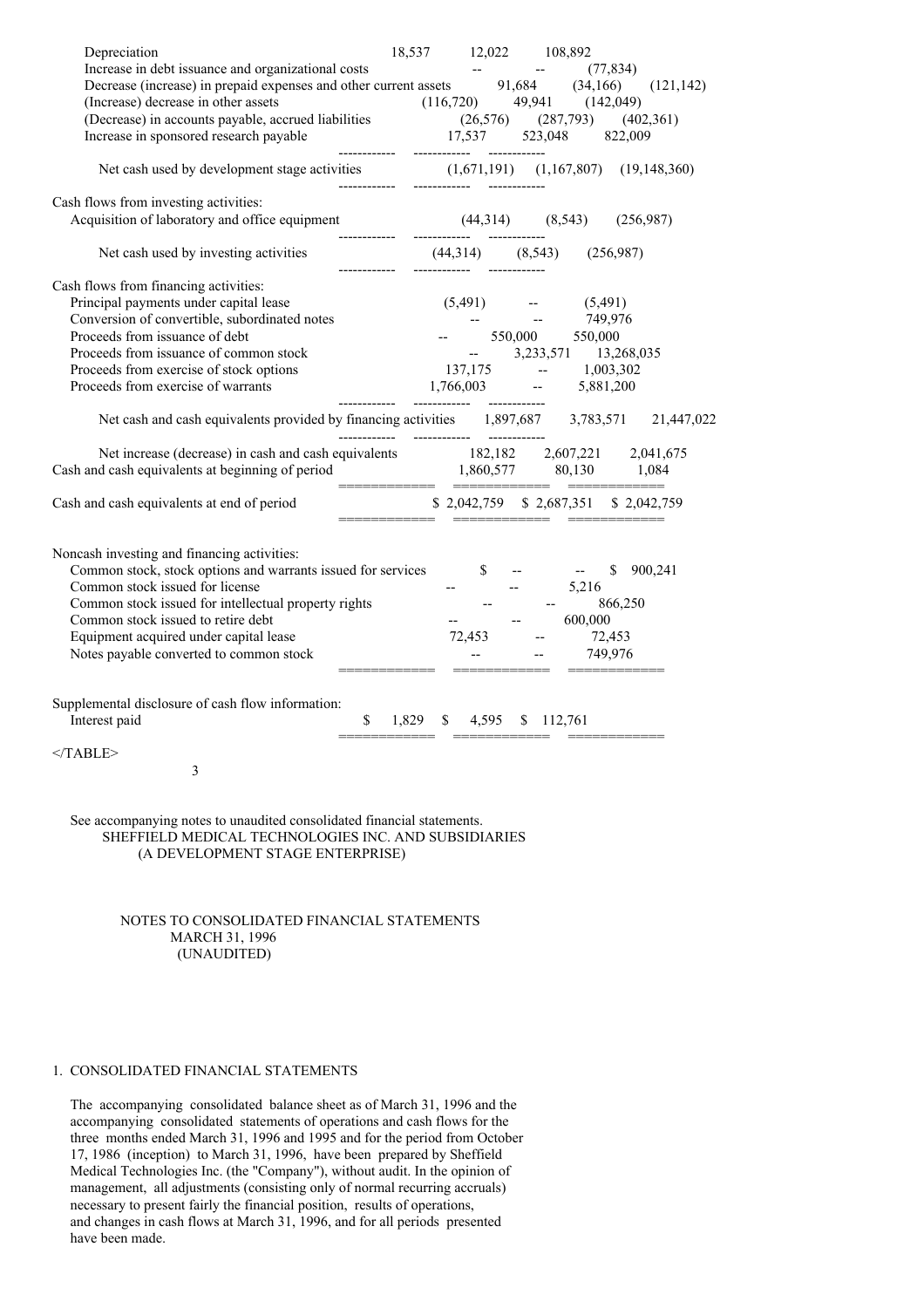| Depreciation                                                                       | 18,537        | 12,022               | 108,892                  |                                                       |                |
|------------------------------------------------------------------------------------|---------------|----------------------|--------------------------|-------------------------------------------------------|----------------|
| Increase in debt issuance and organizational costs                                 |               |                      |                          | (77, 834)                                             |                |
| Decrease (increase) in prepaid expenses and other current assets 91,684            |               |                      |                          | (34,166)                                              | (121, 142)     |
| (Increase) decrease in other assets                                                |               | $(116,720)$ 49,941   |                          | (142, 049)                                            |                |
| (Decrease) in accounts payable, accrued liabilities                                |               |                      | $(26,576)$ $(287,793)$   |                                                       | (402,361)      |
| Increase in sponsored research payable                                             |               | 17,537 523,048       |                          | 822,009                                               |                |
|                                                                                    |               |                      | ------------             |                                                       |                |
| Net cash used by development stage activities (1,671,191) (1,167,807)              | ------------- |                      |                          |                                                       | (19, 148, 360) |
| Cash flows from investing activities:                                              |               |                      |                          |                                                       |                |
| Acquisition of laboratory and office equipment                                     |               | $(44,314)$ $(8,543)$ |                          | (256,987)                                             |                |
| ------------                                                                       |               |                      |                          |                                                       |                |
| Net cash used by investing activities                                              |               | $(44,314)$ $(8,543)$ |                          | (256,987)                                             |                |
| Cash flows from financing activities:                                              |               |                      |                          |                                                       |                |
| Principal payments under capital lease                                             |               | $(5,491)$ --         |                          | (5,491)                                               |                |
| Conversion of convertible, subordinated notes                                      |               |                      | $\sim 10^{11}$ and       | 749,976                                               |                |
| Proceeds from issuance of debt                                                     |               |                      | 550,000 550,000          |                                                       |                |
| Proceeds from issuance of common stock                                             |               |                      |                          | $-3,233,571$ 13,268,035                               |                |
| Proceeds from exercise of stock options                                            |               |                      |                          | 137,175 -- 1,003,302                                  |                |
| Proceeds from exercise of warrants                                                 |               |                      |                          |                                                       |                |
|                                                                                    |               |                      |                          | $1,766,003$ - $5,881,200$                             |                |
| Net cash and cash equivalents provided by financing activities 1,897,687 3,783,571 |               |                      |                          |                                                       | 21,447,022     |
| Net increase (decrease) in cash and cash equivalents                               |               |                      |                          | 182,182 2,607,221 2,041,675                           |                |
| Cash and cash equivalents at beginning of period                                   |               |                      |                          | 1,860,577 80,130 1,084                                |                |
|                                                                                    |               |                      |                          | ============================                          |                |
| Cash and cash equivalents at end of period                                         |               |                      | ________________         | \$2,042,759 \$2,687,351 \$2,042,759<br>______________ |                |
|                                                                                    |               |                      |                          |                                                       |                |
| Noncash investing and financing activities:                                        |               |                      |                          |                                                       |                |
| Common stock, stock options and warrants issued for services                       |               | $\mathbb{S}$         | $\overline{\phantom{a}}$ | \$<br><b>Contract Contract</b>                        | 900,241        |
| Common stock issued for license                                                    |               |                      |                          | 5,216                                                 |                |
| Common stock issued for intellectual property rights                               |               |                      |                          | 866,250                                               |                |
| Common stock issued to retire debt                                                 |               |                      | $\overline{\phantom{a}}$ | 600,000                                               |                |
| Equipment acquired under capital lease                                             |               | 72,453               |                          | 72,453                                                |                |
| Notes payable converted to common stock                                            |               |                      |                          | 749,976                                               |                |
|                                                                                    |               |                      |                          |                                                       |                |
|                                                                                    |               |                      |                          |                                                       |                |
| Supplemental disclosure of cash flow information:                                  |               |                      |                          |                                                       |                |
| Interest paid<br>$\mathbb{S}$                                                      | 1,829         | \$<br>4,595          | \$112,761                |                                                       |                |
|                                                                                    |               |                      |                          |                                                       |                |
| $<$ TABLE>                                                                         |               |                      |                          |                                                       |                |
| 3                                                                                  |               |                      |                          |                                                       |                |
|                                                                                    |               |                      |                          |                                                       |                |

See accompanying notes to unaudited consolidated financial statements. SHEFFIELD MEDICAL TECHNOLOGIES INC. AND SUBSIDIARIES (A DEVELOPMENT STAGE ENTERPRISE)

> NOTES TO CONSOLIDATED FINANCIAL STATEMENTS MARCH 31, 1996 (UNAUDITED)

# 1. CONSOLIDATED FINANCIAL STATEMENTS

The accompanying consolidated balance sheet as of March 31, 1996 and the accompanying consolidated statements of operations and cash flows for the three months ended March 31, 1996 and 1995 and for the period from October 17, 1986 (inception) to March 31, 1996, have been prepared by Sheffield Medical Technologies Inc. (the "Company"), without audit. In the opinion of management, all adjustments (consisting only of normal recurring accruals) necessary to present fairly the financial position, results of operations, and changes in cash flows at March 31, 1996, and for all periods presented have been made.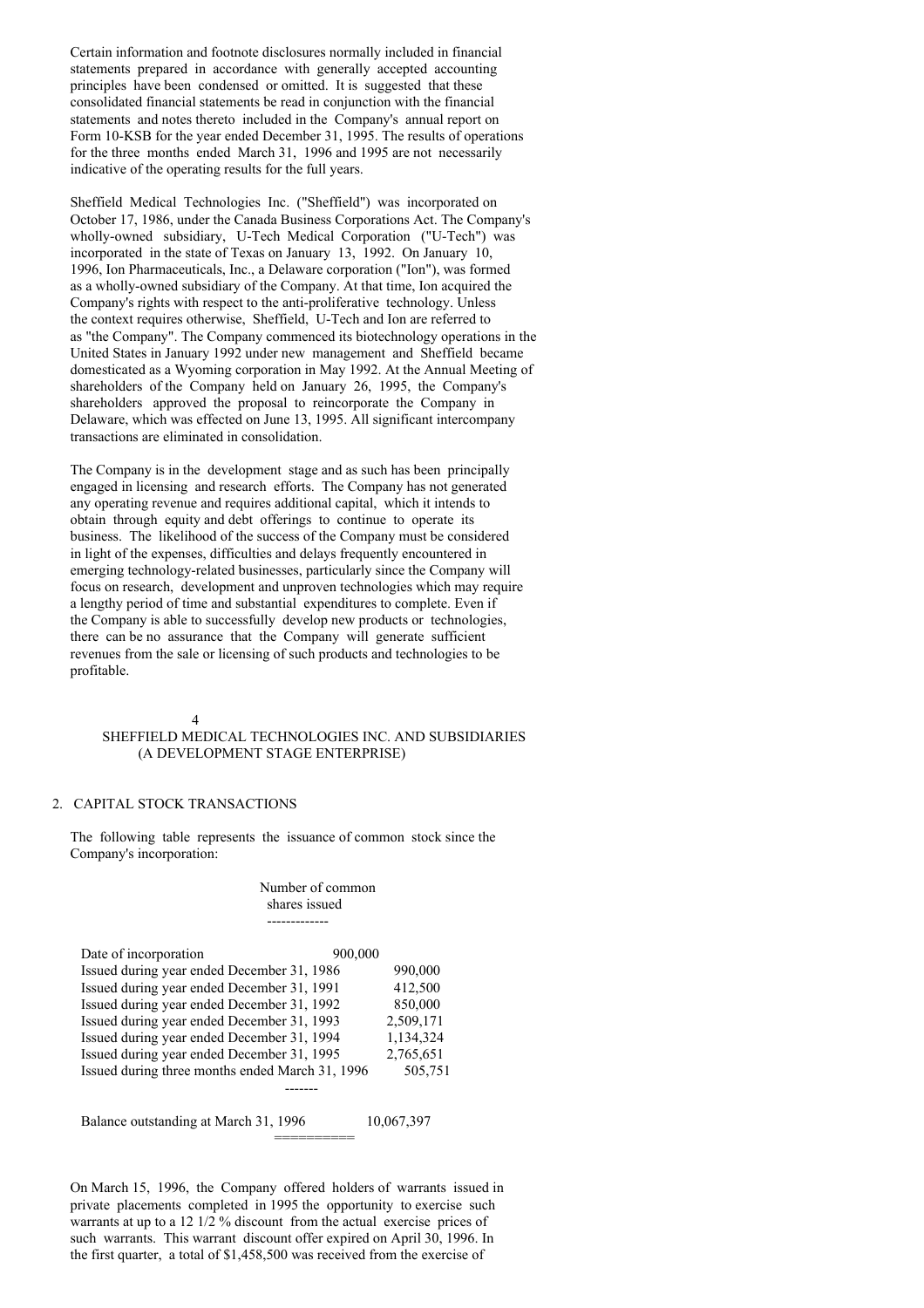Certain information and footnote disclosures normally included in financial statements prepared in accordance with generally accepted accounting principles have been condensed or omitted. It is suggested that these consolidated financial statements be read in conjunction with the financial statements and notes thereto included in the Company's annual report on Form 10-KSB for the year ended December 31, 1995. The results of operations for the three months ended March 31, 1996 and 1995 are not necessarily indicative of the operating results for the full years.

Sheffield Medical Technologies Inc. ("Sheffield") was incorporated on October 17, 1986, under the Canada Business Corporations Act. The Company's wholly-owned subsidiary, U-Tech Medical Corporation ("U-Tech") was incorporated in the state of Texas on January 13, 1992. On January 10, 1996, Ion Pharmaceuticals, Inc., a Delaware corporation ("Ion"), was formed as a wholly-owned subsidiary of the Company. At that time, Ion acquired the Company's rights with respect to the anti-proliferative technology. Unless the context requires otherwise, Sheffield, U-Tech and Ion are referred to as "the Company". The Company commenced its biotechnology operations in the United States in January 1992 under new management and Sheffield became domesticated as a Wyoming corporation in May 1992. At the Annual Meeting of shareholders of the Company held on January 26, 1995, the Company's shareholders approved the proposal to reincorporate the Company in Delaware, which was effected on June 13, 1995. All significant intercompany transactions are eliminated in consolidation.

The Company is in the development stage and as such has been principally engaged in licensing and research efforts. The Company has not generated any operating revenue and requires additional capital, which it intends to obtain through equity and debt offerings to continue to operate its business. The likelihood of the success of the Company must be considered in light of the expenses, difficulties and delays frequently encountered in emerging technology-related businesses, particularly since the Company will focus on research, development and unproven technologies which may require a lengthy period of time and substantial expenditures to complete. Even if the Company is able to successfully develop new products or technologies, there can be no assurance that the Company will generate sufficient revenues from the sale or licensing of such products and technologies to be profitable.

4

#### SHEFFIELD MEDICAL TECHNOLOGIES INC. AND SUBSIDIARIES (A DEVELOPMENT STAGE ENTERPRISE)

## 2. CAPITAL STOCK TRANSACTIONS

The following table represents the issuance of common stock since the Company's incorporation:

#### Number of common shares issued -------------

| Date of incorporation                           | 900,000   |
|-------------------------------------------------|-----------|
| Issued during year ended December 31, 1986      | 990,000   |
| Issued during year ended December 31, 1991      | 412,500   |
| Issued during year ended December 31, 1992      | 850,000   |
| Issued during year ended December 31, 1993      | 2,509,171 |
| Issued during year ended December 31, 1994      | 1,134,324 |
| Issued during year ended December 31, 1995      | 2,765,651 |
| Issued during three months ended March 31, 1996 | 505,751   |
|                                                 |           |

Balance outstanding at March 31, 1996 10,067,397 ==========

On March 15, 1996, the Company offered holders of warrants issued in private placements completed in 1995 the opportunity to exercise such warrants at up to a 12 1/2 % discount from the actual exercise prices of such warrants. This warrant discount offer expired on April 30, 1996. In the first quarter, a total of \$1,458,500 was received from the exercise of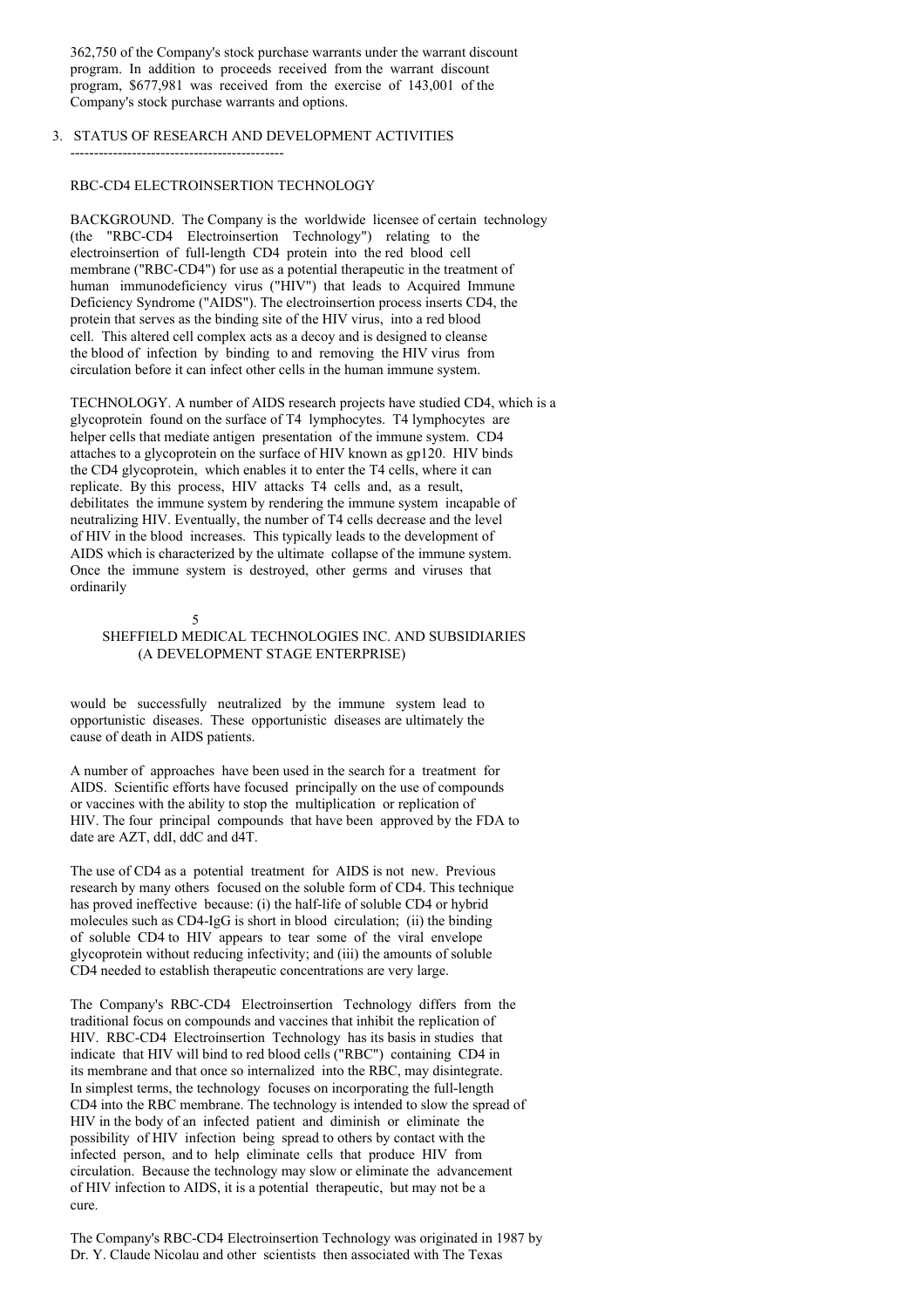362,750 of the Company's stock purchase warrants under the warrant discount program. In addition to proceeds received from the warrant discount program, \$677,981 was received from the exercise of 143,001 of the Company's stock purchase warrants and options.

## 3. STATUS OF RESEARCH AND DEVELOPMENT ACTIVITIES

#### RBC-CD4 ELECTROINSERTION TECHNOLOGY

---------------------------------------------

BACKGROUND. The Company is the worldwide licensee of certain technology (the "RBC-CD4 Electroinsertion Technology") relating to the electroinsertion of full-length CD4 protein into the red blood cell membrane ("RBC-CD4") for use as a potential therapeutic in the treatment of human immunodeficiency virus ("HIV") that leads to Acquired Immune Deficiency Syndrome ("AIDS"). The electroinsertion process inserts CD4, the protein that serves as the binding site of the HIV virus, into a red blood cell. This altered cell complex acts as a decoy and is designed to cleanse the blood of infection by binding to and removing the HIV virus from circulation before it can infect other cells in the human immune system.

TECHNOLOGY. A number of AIDS research projects have studied CD4, which is a glycoprotein found on the surface of T4 lymphocytes. T4 lymphocytes are helper cells that mediate antigen presentation of the immune system. CD4 attaches to a glycoprotein on the surface of HIV known as gp120. HIV binds the CD4 glycoprotein, which enables it to enter the T4 cells, where it can replicate. By this process, HIV attacks T4 cells and, as a result, debilitates the immune system by rendering the immune system incapable of neutralizing HIV. Eventually, the number of T4 cells decrease and the level of HIV in the blood increases. This typically leads to the development of AIDS which is characterized by the ultimate collapse of the immune system. Once the immune system is destroyed, other germs and viruses that ordinarily

#### 5

SHEFFIELD MEDICAL TECHNOLOGIES INC. AND SUBSIDIARIES (A DEVELOPMENT STAGE ENTERPRISE)

would be successfully neutralized by the immune system lead to opportunistic diseases. These opportunistic diseases are ultimately the cause of death in AIDS patients.

A number of approaches have been used in the search for a treatment for AIDS. Scientific efforts have focused principally on the use of compounds or vaccines with the ability to stop the multiplication or replication of HIV. The four principal compounds that have been approved by the FDA to date are AZT, ddI, ddC and d4T.

The use of CD4 as a potential treatment for AIDS is not new. Previous research by many others focused on the soluble form of CD4. This technique has proved ineffective because: (i) the half-life of soluble CD4 or hybrid molecules such as CD4-IgG is short in blood circulation; (ii) the binding of soluble CD4 to HIV appears to tear some of the viral envelope glycoprotein without reducing infectivity; and (iii) the amounts of soluble CD4 needed to establish therapeutic concentrations are very large.

The Company's RBC-CD4 Electroinsertion Technology differs from the traditional focus on compounds and vaccines that inhibit the replication of HIV. RBC-CD4 Electroinsertion Technology has its basis in studies that indicate that HIV will bind to red blood cells ("RBC") containing CD4 in its membrane and that once so internalized into the RBC, may disintegrate. In simplest terms, the technology focuses on incorporating the full-length CD4 into the RBC membrane. The technology is intended to slow the spread of HIV in the body of an infected patient and diminish or eliminate the possibility of HIV infection being spread to others by contact with the infected person, and to help eliminate cells that produce HIV from circulation. Because the technology may slow or eliminate the advancement of HIV infection to AIDS, it is a potential therapeutic, but may not be a cure.

The Company's RBC-CD4 Electroinsertion Technology was originated in 1987 by Dr. Y. Claude Nicolau and other scientists then associated with The Texas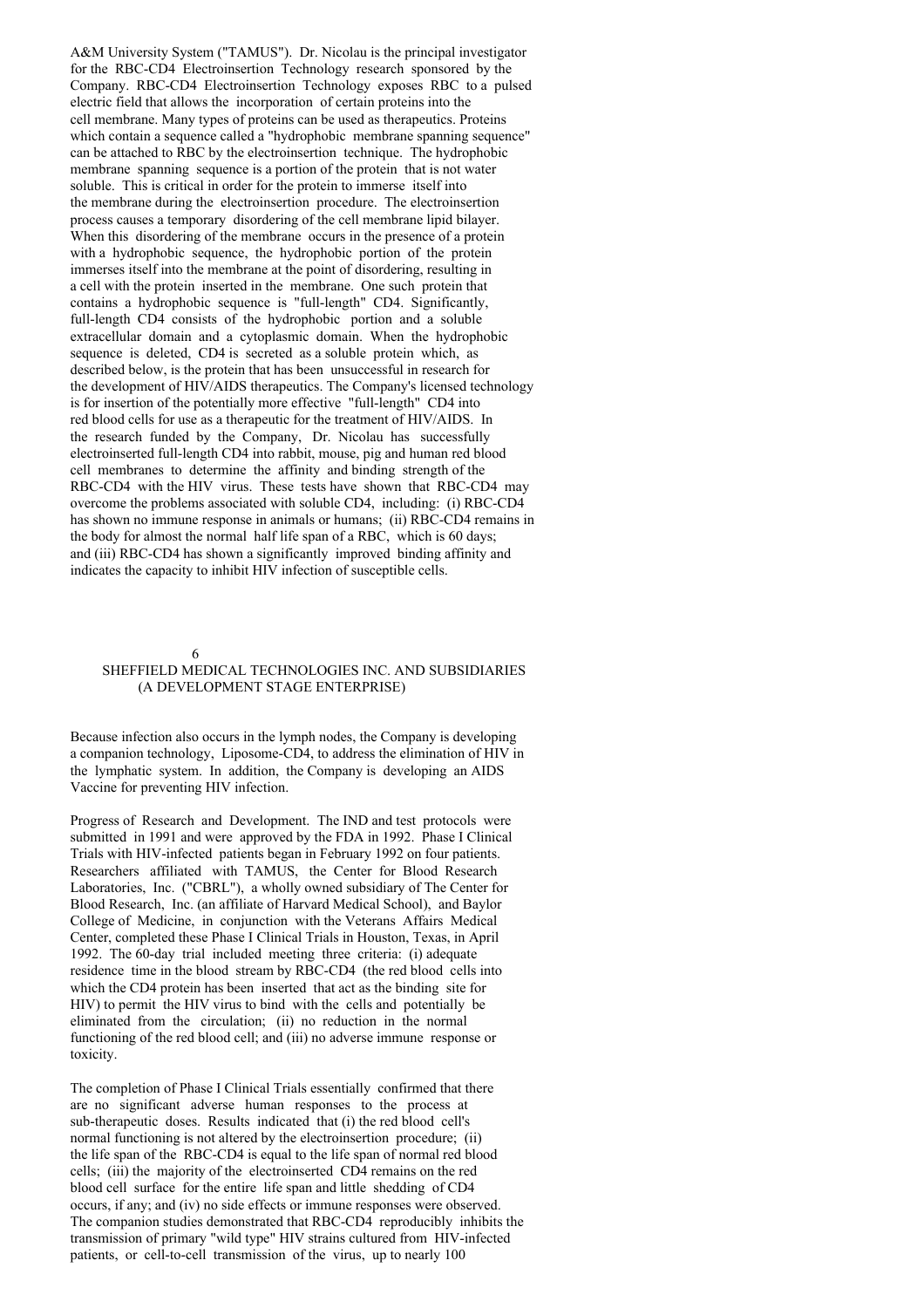A&M University System ("TAMUS"). Dr. Nicolau is the principal investigator for the RBC-CD4 Electroinsertion Technology research sponsored by the Company. RBC-CD4 Electroinsertion Technology exposes RBC to a pulsed electric field that allows the incorporation of certain proteins into the cell membrane. Many types of proteins can be used as therapeutics. Proteins which contain a sequence called a "hydrophobic membrane spanning sequence" can be attached to RBC by the electroinsertion technique. The hydrophobic membrane spanning sequence is a portion of the protein that is not water soluble. This is critical in order for the protein to immerse itself into the membrane during the electroinsertion procedure. The electroinsertion process causes a temporary disordering of the cell membrane lipid bilayer. When this disordering of the membrane occurs in the presence of a protein with a hydrophobic sequence, the hydrophobic portion of the protein immerses itself into the membrane at the point of disordering, resulting in a cell with the protein inserted in the membrane. One such protein that contains a hydrophobic sequence is "full-length" CD4. Significantly, full-length CD4 consists of the hydrophobic portion and a soluble extracellular domain and a cytoplasmic domain. When the hydrophobic sequence is deleted, CD4 is secreted as a soluble protein which, as described below, is the protein that has been unsuccessful in research for the development of HIV/AIDS therapeutics. The Company's licensed technology is for insertion of the potentially more effective "full-length" CD4 into red blood cells for use as a therapeutic for the treatment of HIV/AIDS. In the research funded by the Company, Dr. Nicolau has successfully electroinserted full-length CD4 into rabbit, mouse, pig and human red blood cell membranes to determine the affinity and binding strength of the RBC-CD4 with the HIV virus. These tests have shown that RBC-CD4 may overcome the problems associated with soluble CD4, including: (i) RBC-CD4 has shown no immune response in animals or humans; (ii) RBC-CD4 remains in the body for almost the normal half life span of a RBC, which is 60 days; and (iii) RBC-CD4 has shown a significantly improved binding affinity and indicates the capacity to inhibit HIV infection of susceptible cells.

6

## SHEFFIELD MEDICAL TECHNOLOGIES INC. AND SUBSIDIARIES (A DEVELOPMENT STAGE ENTERPRISE)

Because infection also occurs in the lymph nodes, the Company is developing a companion technology, Liposome-CD4, to address the elimination of HIV in the lymphatic system. In addition, the Company is developing an AIDS Vaccine for preventing HIV infection.

Progress of Research and Development. The IND and test protocols were submitted in 1991 and were approved by the FDA in 1992. Phase I Clinical Trials with HIV-infected patients began in February 1992 on four patients. Researchers affiliated with TAMUS, the Center for Blood Research Laboratories, Inc. ("CBRL"), a wholly owned subsidiary of The Center for Blood Research, Inc. (an affiliate of Harvard Medical School), and Baylor College of Medicine, in conjunction with the Veterans Affairs Medical Center, completed these Phase I Clinical Trials in Houston, Texas, in April 1992. The 60-day trial included meeting three criteria: (i) adequate residence time in the blood stream by RBC-CD4 (the red blood cells into which the CD4 protein has been inserted that act as the binding site for HIV) to permit the HIV virus to bind with the cells and potentially be eliminated from the circulation; (ii) no reduction in the normal functioning of the red blood cell; and (iii) no adverse immune response or toxicity.

The completion of Phase I Clinical Trials essentially confirmed that there are no significant adverse human responses to the process at sub-therapeutic doses. Results indicated that (i) the red blood cell's normal functioning is not altered by the electroinsertion procedure; (ii) the life span of the RBC-CD4 is equal to the life span of normal red blood cells; (iii) the majority of the electroinserted CD4 remains on the red blood cell surface for the entire life span and little shedding of CD4 occurs, if any; and (iv) no side effects or immune responses were observed. The companion studies demonstrated that RBC-CD4 reproducibly inhibits the transmission of primary "wild type" HIV strains cultured from HIV-infected patients, or cell-to-cell transmission of the virus, up to nearly 100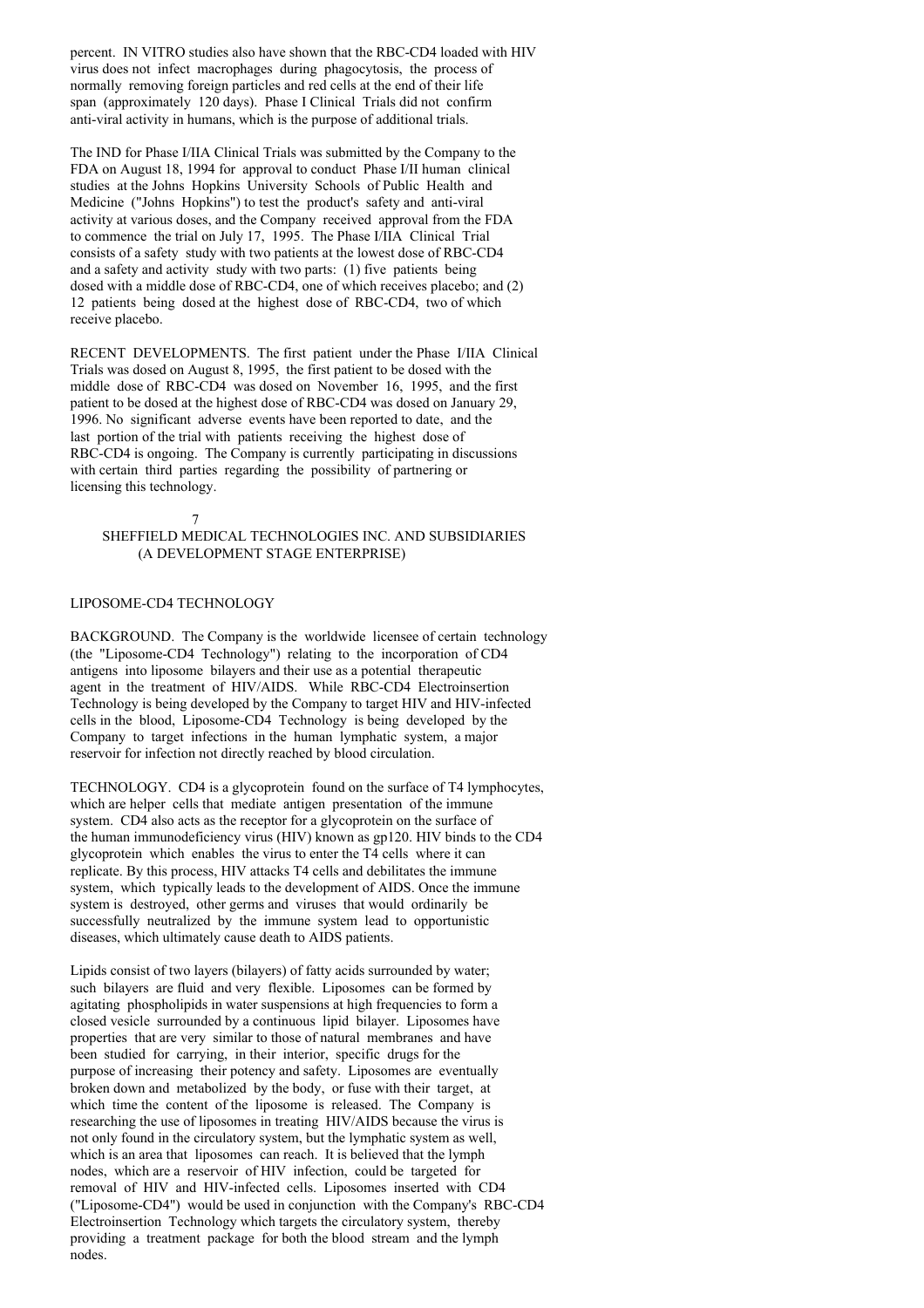percent. IN VITRO studies also have shown that the RBC-CD4 loaded with HIV virus does not infect macrophages during phagocytosis, the process of normally removing foreign particles and red cells at the end of their life span (approximately 120 days). Phase I Clinical Trials did not confirm anti-viral activity in humans, which is the purpose of additional trials.

The IND for Phase I/IIA Clinical Trials was submitted by the Company to the FDA on August 18, 1994 for approval to conduct Phase I/II human clinical studies at the Johns Hopkins University Schools of Public Health and Medicine ("Johns Hopkins") to test the product's safety and anti-viral activity at various doses, and the Company received approval from the FDA to commence the trial on July 17, 1995. The Phase I/IIA Clinical Trial consists of a safety study with two patients at the lowest dose of RBC-CD4 and a safety and activity study with two parts: (1) five patients being dosed with a middle dose of RBC-CD4, one of which receives placebo; and (2) 12 patients being dosed at the highest dose of RBC-CD4, two of which receive placebo.

RECENT DEVELOPMENTS. The first patient under the Phase I/IIA Clinical Trials was dosed on August 8, 1995, the first patient to be dosed with the middle dose of RBC-CD4 was dosed on November 16, 1995, and the first patient to be dosed at the highest dose of RBC-CD4 was dosed on January 29, 1996. No significant adverse events have been reported to date, and the last portion of the trial with patients receiving the highest dose of RBC-CD4 is ongoing. The Company is currently participating in discussions with certain third parties regarding the possibility of partnering or licensing this technology.

#### 7

## SHEFFIELD MEDICAL TECHNOLOGIES INC. AND SUBSIDIARIES (A DEVELOPMENT STAGE ENTERPRISE)

## LIPOSOME-CD4 TECHNOLOGY

BACKGROUND. The Company is the worldwide licensee of certain technology (the "Liposome-CD4 Technology") relating to the incorporation of CD4 antigens into liposome bilayers and their use as a potential therapeutic agent in the treatment of HIV/AIDS. While RBC-CD4 Electroinsertion Technology is being developed by the Company to target HIV and HIV-infected cells in the blood, Liposome-CD4 Technology is being developed by the Company to target infections in the human lymphatic system, a major reservoir for infection not directly reached by blood circulation.

TECHNOLOGY. CD4 is a glycoprotein found on the surface of T4 lymphocytes, which are helper cells that mediate antigen presentation of the immune system. CD4 also acts as the receptor for a glycoprotein on the surface of the human immunodeficiency virus (HIV) known as gp120. HIV binds to the CD4 glycoprotein which enables the virus to enter the T4 cells where it can replicate. By this process, HIV attacks T4 cells and debilitates the immune system, which typically leads to the development of AIDS. Once the immune system is destroyed, other germs and viruses that would ordinarily be successfully neutralized by the immune system lead to opportunistic diseases, which ultimately cause death to AIDS patients.

Lipids consist of two layers (bilayers) of fatty acids surrounded by water; such bilayers are fluid and very flexible. Liposomes can be formed by agitating phospholipids in water suspensions at high frequencies to form a closed vesicle surrounded by a continuous lipid bilayer. Liposomes have properties that are very similar to those of natural membranes and have been studied for carrying, in their interior, specific drugs for the purpose of increasing their potency and safety. Liposomes are eventually broken down and metabolized by the body, or fuse with their target, at which time the content of the liposome is released. The Company is researching the use of liposomes in treating HIV/AIDS because the virus is not only found in the circulatory system, but the lymphatic system as well, which is an area that liposomes can reach. It is believed that the lymph nodes, which are a reservoir of HIV infection, could be targeted for removal of HIV and HIV-infected cells. Liposomes inserted with CD4 ("Liposome-CD4") would be used in conjunction with the Company's RBC-CD4 Electroinsertion Technology which targets the circulatory system, thereby providing a treatment package for both the blood stream and the lymph nodes.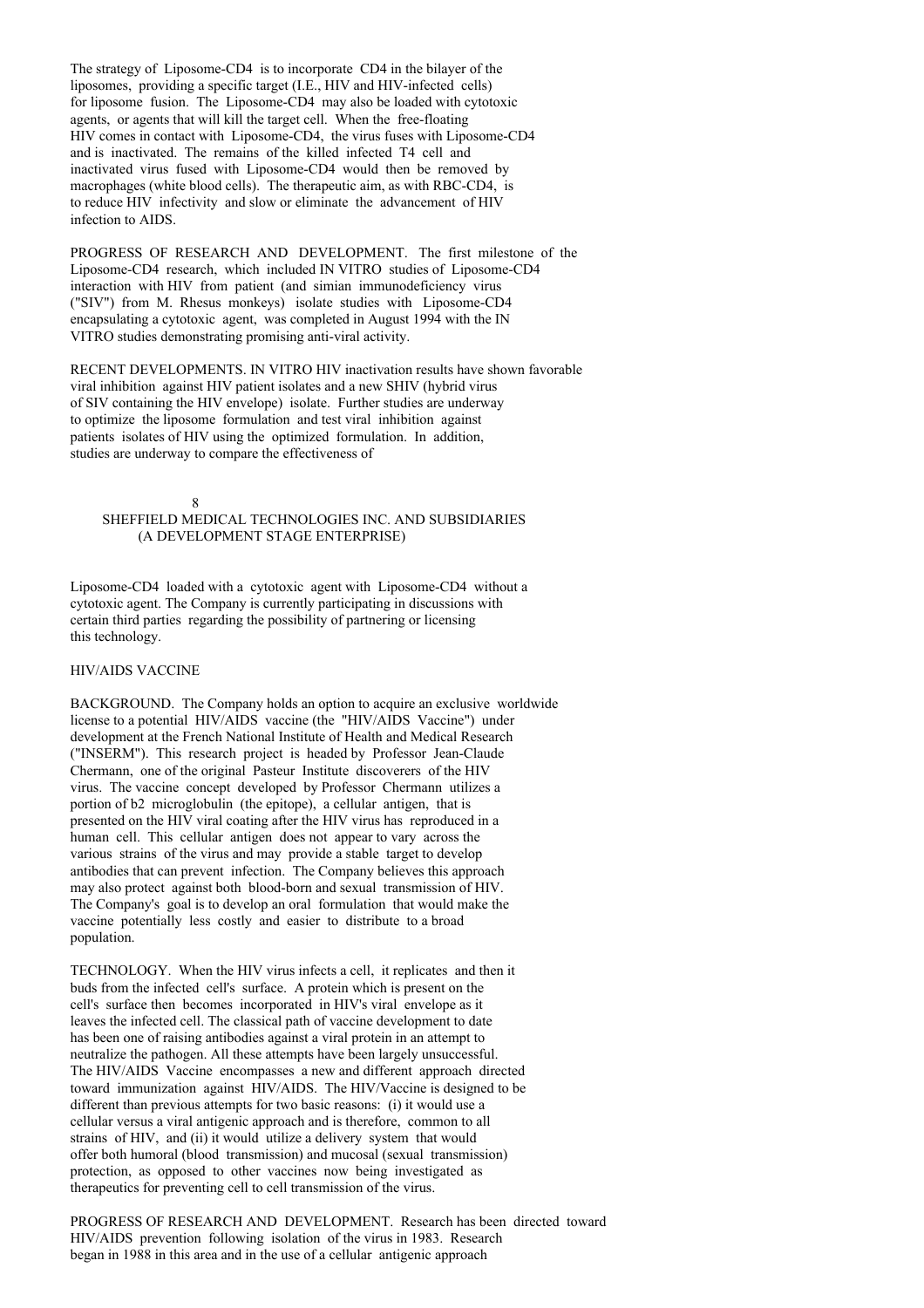The strategy of Liposome-CD4 is to incorporate CD4 in the bilayer of the liposomes, providing a specific target (I.E., HIV and HIV-infected cells) for liposome fusion. The Liposome-CD4 may also be loaded with cytotoxic agents, or agents that will kill the target cell. When the free-floating HIV comes in contact with Liposome-CD4, the virus fuses with Liposome-CD4 and is inactivated. The remains of the killed infected T4 cell and inactivated virus fused with Liposome-CD4 would then be removed by macrophages (white blood cells). The therapeutic aim, as with RBC-CD4, is to reduce HIV infectivity and slow or eliminate the advancement of HIV infection to AIDS.

PROGRESS OF RESEARCH AND DEVELOPMENT. The first milestone of the Liposome-CD4 research, which included IN VITRO studies of Liposome-CD4 interaction with HIV from patient (and simian immunodeficiency virus ("SIV") from M. Rhesus monkeys) isolate studies with Liposome-CD4 encapsulating a cytotoxic agent, was completed in August 1994 with the IN VITRO studies demonstrating promising anti-viral activity.

RECENT DEVELOPMENTS. IN VITRO HIV inactivation results have shown favorable viral inhibition against HIV patient isolates and a new SHIV (hybrid virus of SIV containing the HIV envelope) isolate. Further studies are underway to optimize the liposome formulation and test viral inhibition against patients isolates of HIV using the optimized formulation. In addition, studies are underway to compare the effectiveness of

8 SHEFFIELD MEDICAL TECHNOLOGIES INC. AND SUBSIDIARIES (A DEVELOPMENT STAGE ENTERPRISE)

Liposome-CD4 loaded with a cytotoxic agent with Liposome-CD4 without a cytotoxic agent. The Company is currently participating in discussions with certain third parties regarding the possibility of partnering or licensing this technology.

## HIV/AIDS VACCINE

BACKGROUND. The Company holds an option to acquire an exclusive worldwide license to a potential HIV/AIDS vaccine (the "HIV/AIDS Vaccine") under development at the French National Institute of Health and Medical Research ("INSERM"). This research project is headed by Professor Jean-Claude Chermann, one of the original Pasteur Institute discoverers of the HIV virus. The vaccine concept developed by Professor Chermann utilizes a portion of b2 microglobulin (the epitope), a cellular antigen, that is presented on the HIV viral coating after the HIV virus has reproduced in a human cell. This cellular antigen does not appear to vary across the various strains of the virus and may provide a stable target to develop antibodies that can prevent infection. The Company believes this approach may also protect against both blood-born and sexual transmission of HIV. The Company's goal is to develop an oral formulation that would make the vaccine potentially less costly and easier to distribute to a broad population.

TECHNOLOGY. When the HIV virus infects a cell, it replicates and then it buds from the infected cell's surface. A protein which is present on the cell's surface then becomes incorporated in HIV's viral envelope as it leaves the infected cell. The classical path of vaccine development to date has been one of raising antibodies against a viral protein in an attempt to neutralize the pathogen. All these attempts have been largely unsuccessful. The HIV/AIDS Vaccine encompasses a new and different approach directed toward immunization against HIV/AIDS. The HIV/Vaccine is designed to be different than previous attempts for two basic reasons: (i) it would use a cellular versus a viral antigenic approach and is therefore, common to all strains of HIV, and (ii) it would utilize a delivery system that would offer both humoral (blood transmission) and mucosal (sexual transmission) protection, as opposed to other vaccines now being investigated as therapeutics for preventing cell to cell transmission of the virus.

PROGRESS OF RESEARCH AND DEVELOPMENT. Research has been directed toward HIV/AIDS prevention following isolation of the virus in 1983. Research began in 1988 in this area and in the use of a cellular antigenic approach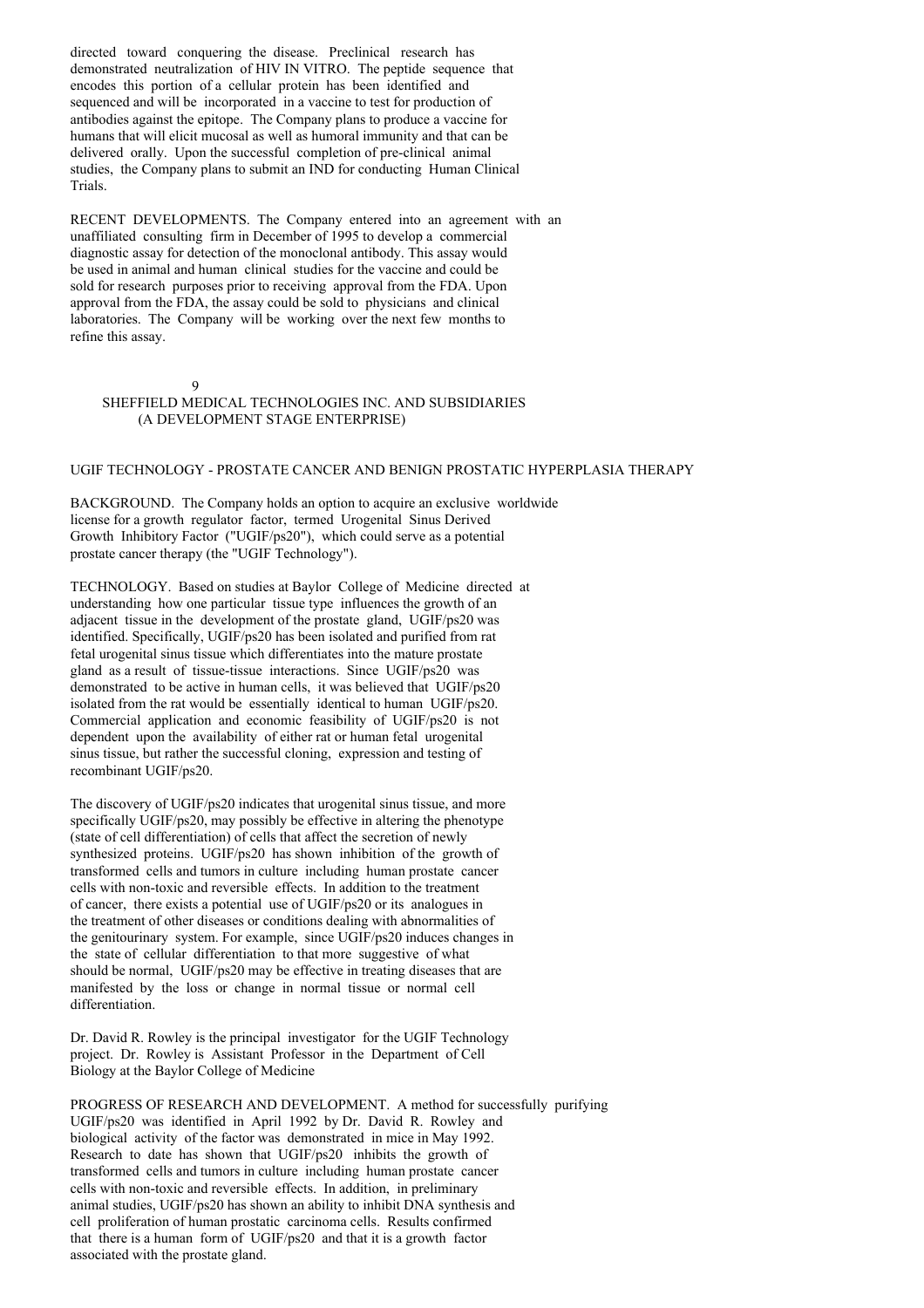directed toward conquering the disease. Preclinical research has demonstrated neutralization of HIV IN VITRO. The peptide sequence that encodes this portion of a cellular protein has been identified and sequenced and will be incorporated in a vaccine to test for production of antibodies against the epitope. The Company plans to produce a vaccine for humans that will elicit mucosal as well as humoral immunity and that can be delivered orally. Upon the successful completion of pre-clinical animal studies, the Company plans to submit an IND for conducting Human Clinical Trials.

RECENT DEVELOPMENTS. The Company entered into an agreement with an unaffiliated consulting firm in December of 1995 to develop a commercial diagnostic assay for detection of the monoclonal antibody. This assay would be used in animal and human clinical studies for the vaccine and could be sold for research purposes prior to receiving approval from the FDA. Upon approval from the FDA, the assay could be sold to physicians and clinical laboratories. The Company will be working over the next few months to refine this assay.

#### $\overline{Q}$

## SHEFFIELD MEDICAL TECHNOLOGIES INC. AND SUBSIDIARIES (A DEVELOPMENT STAGE ENTERPRISE)

#### UGIF TECHNOLOGY - PROSTATE CANCER AND BENIGN PROSTATIC HYPERPLASIA THERAPY

BACKGROUND. The Company holds an option to acquire an exclusive worldwide license for a growth regulator factor, termed Urogenital Sinus Derived Growth Inhibitory Factor ("UGIF/ps20"), which could serve as a potential prostate cancer therapy (the "UGIF Technology").

TECHNOLOGY. Based on studies at Baylor College of Medicine directed at understanding how one particular tissue type influences the growth of an adjacent tissue in the development of the prostate gland, UGIF/ps20 was identified. Specifically, UGIF/ps20 has been isolated and purified from rat fetal urogenital sinus tissue which differentiates into the mature prostate gland as a result of tissue-tissue interactions. Since UGIF/ps20 was demonstrated to be active in human cells, it was believed that UGIF/ps20 isolated from the rat would be essentially identical to human UGIF/ $p$ s20. Commercial application and economic feasibility of UGIF/ps20 is not dependent upon the availability of either rat or human fetal urogenital sinus tissue, but rather the successful cloning, expression and testing of recombinant UGIF/ps20.

The discovery of UGIF/ps20 indicates that urogenital sinus tissue, and more specifically UGIF/ps20, may possibly be effective in altering the phenotype (state of cell differentiation) of cells that affect the secretion of newly synthesized proteins. UGIF/ps20 has shown inhibition of the growth of transformed cells and tumors in culture including human prostate cancer cells with non-toxic and reversible effects. In addition to the treatment of cancer, there exists a potential use of UGIF/ps20 or its analogues in the treatment of other diseases or conditions dealing with abnormalities of the genitourinary system. For example, since UGIF/ps20 induces changes in the state of cellular differentiation to that more suggestive of what should be normal, UGIF/ps20 may be effective in treating diseases that are manifested by the loss or change in normal tissue or normal cell differentiation.

Dr. David R. Rowley is the principal investigator for the UGIF Technology project. Dr. Rowley is Assistant Professor in the Department of Cell Biology at the Baylor College of Medicine

PROGRESS OF RESEARCH AND DEVELOPMENT. A method for successfully purifying UGIF/ps20 was identified in April 1992 by Dr. David R. Rowley and biological activity of the factor was demonstrated in mice in May 1992. Research to date has shown that UGIF/ps20 inhibits the growth of transformed cells and tumors in culture including human prostate cancer cells with non-toxic and reversible effects. In addition, in preliminary animal studies, UGIF/ps20 has shown an ability to inhibit DNA synthesis and cell proliferation of human prostatic carcinoma cells. Results confirmed that there is a human form of UGIF/ps20 and that it is a growth factor associated with the prostate gland.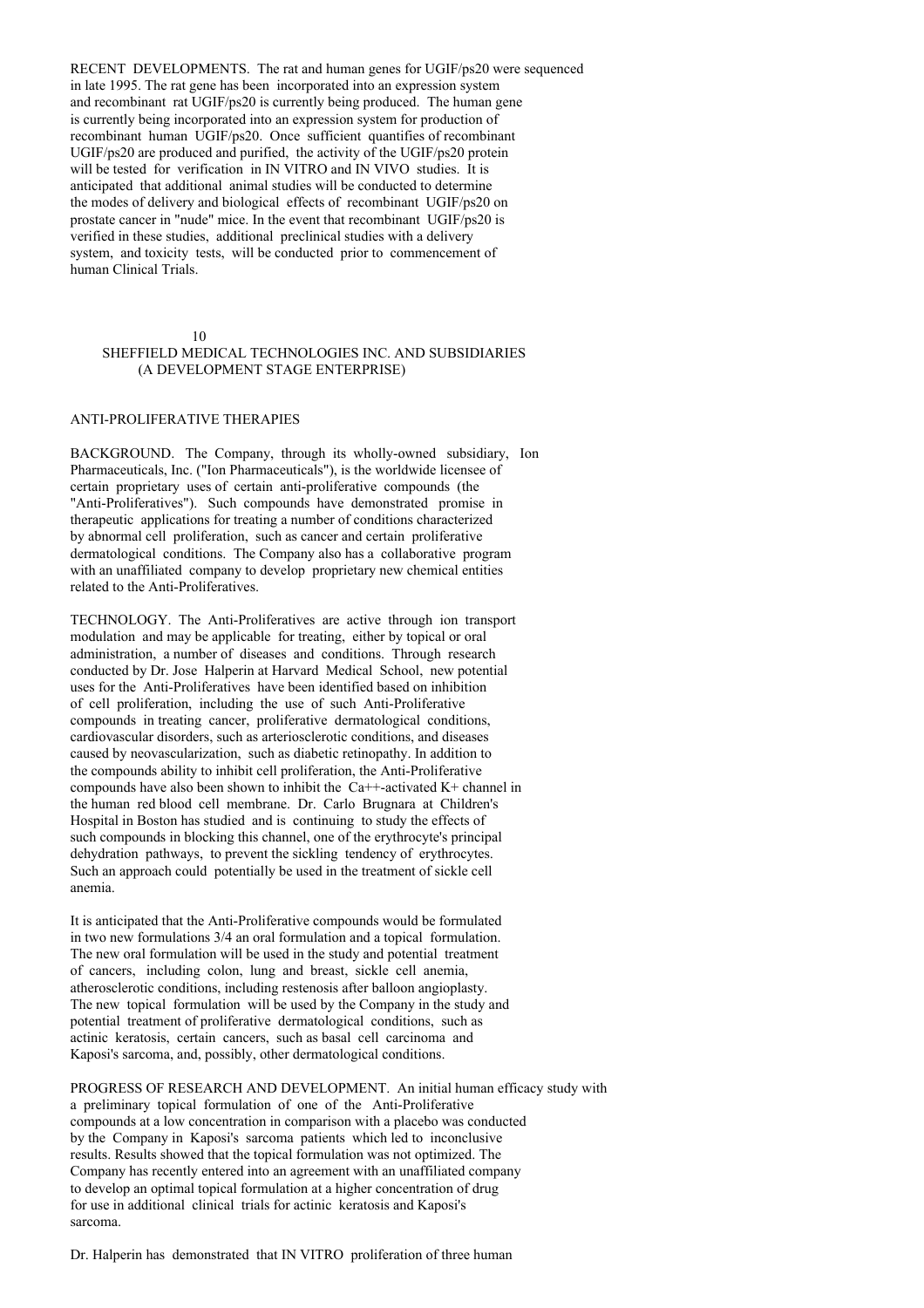RECENT DEVELOPMENTS. The rat and human genes for UGIF/ps20 were sequenced in late 1995. The rat gene has been incorporated into an expression system and recombinant rat UGIF/ps20 is currently being produced. The human gene is currently being incorporated into an expression system for production of recombinant human UGIF/ps20. Once sufficient quantifies of recombinant UGIF/ps20 are produced and purified, the activity of the UGIF/ps20 protein will be tested for verification in IN VITRO and IN VIVO studies. It is anticipated that additional animal studies will be conducted to determine the modes of delivery and biological effects of recombinant UGIF/ps20 on prostate cancer in "nude" mice. In the event that recombinant UGIF/ps20 is verified in these studies, additional preclinical studies with a delivery system, and toxicity tests, will be conducted prior to commencement of human Clinical Trials.

10

## SHEFFIELD MEDICAL TECHNOLOGIES INC. AND SUBSIDIARIES (A DEVELOPMENT STAGE ENTERPRISE)

## ANTI-PROLIFERATIVE THERAPIES

BACKGROUND. The Company, through its wholly-owned subsidiary, Ion Pharmaceuticals, Inc. ("Ion Pharmaceuticals"), is the worldwide licensee of certain proprietary uses of certain anti-proliferative compounds (the "Anti-Proliferatives"). Such compounds have demonstrated promise in therapeutic applications for treating a number of conditions characterized by abnormal cell proliferation, such as cancer and certain proliferative dermatological conditions. The Company also has a collaborative program with an unaffiliated company to develop proprietary new chemical entities related to the Anti-Proliferatives.

TECHNOLOGY. The Anti-Proliferatives are active through ion transport modulation and may be applicable for treating, either by topical or oral administration, a number of diseases and conditions. Through research conducted by Dr. Jose Halperin at Harvard Medical School, new potential uses for the Anti-Proliferatives have been identified based on inhibition of cell proliferation, including the use of such Anti-Proliferative compounds in treating cancer, proliferative dermatological conditions, cardiovascular disorders, such as arteriosclerotic conditions, and diseases caused by neovascularization, such as diabetic retinopathy. In addition to the compounds ability to inhibit cell proliferation, the Anti-Proliferative compounds have also been shown to inhibit the Ca++-activated K+ channel in the human red blood cell membrane. Dr. Carlo Brugnara at Children's Hospital in Boston has studied and is continuing to study the effects of such compounds in blocking this channel, one of the erythrocyte's principal dehydration pathways, to prevent the sickling tendency of erythrocytes. Such an approach could potentially be used in the treatment of sickle cell anemia.

It is anticipated that the Anti-Proliferative compounds would be formulated in two new formulations 3/4 an oral formulation and a topical formulation. The new oral formulation will be used in the study and potential treatment of cancers, including colon, lung and breast, sickle cell anemia, atherosclerotic conditions, including restenosis after balloon angioplasty. The new topical formulation will be used by the Company in the study and potential treatment of proliferative dermatological conditions, such as actinic keratosis, certain cancers, such as basal cell carcinoma and Kaposi's sarcoma, and, possibly, other dermatological conditions.

PROGRESS OF RESEARCH AND DEVELOPMENT. An initial human efficacy study with a preliminary topical formulation of one of the Anti-Proliferative compounds at a low concentration in comparison with a placebo was conducted by the Company in Kaposi's sarcoma patients which led to inconclusive results. Results showed that the topical formulation was not optimized. The Company has recently entered into an agreement with an unaffiliated company to develop an optimal topical formulation at a higher concentration of drug for use in additional clinical trials for actinic keratosis and Kaposi's sarcoma.

Dr. Halperin has demonstrated that IN VITRO proliferation of three human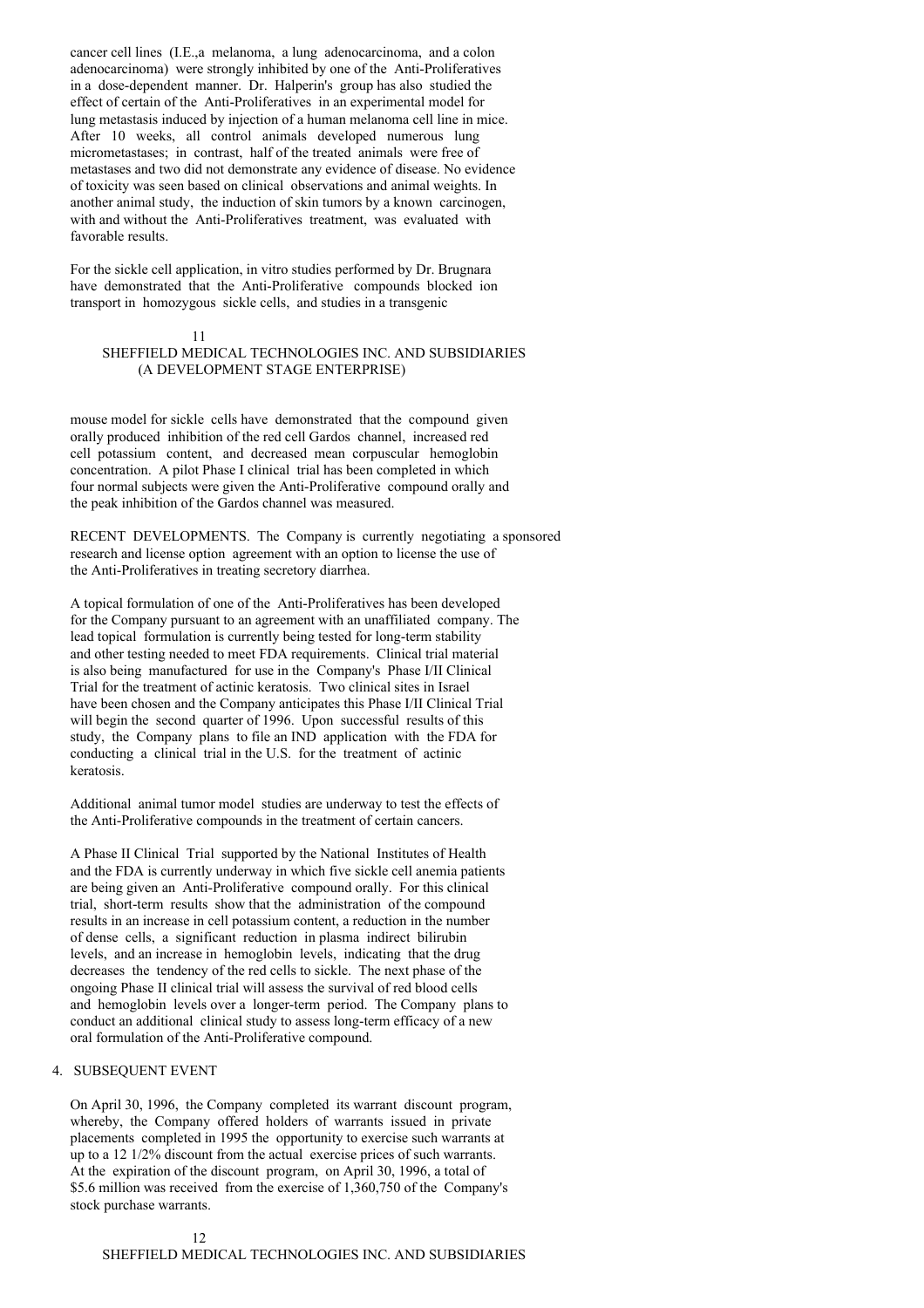cancer cell lines (I.E.,a melanoma, a lung adenocarcinoma, and a colon adenocarcinoma) were strongly inhibited by one of the Anti-Proliferatives in a dose-dependent manner. Dr. Halperin's group has also studied the effect of certain of the Anti-Proliferatives in an experimental model for lung metastasis induced by injection of a human melanoma cell line in mice. After 10 weeks, all control animals developed numerous lung micrometastases; in contrast, half of the treated animals were free of metastases and two did not demonstrate any evidence of disease. No evidence of toxicity was seen based on clinical observations and animal weights. In another animal study, the induction of skin tumors by a known carcinogen, with and without the Anti-Proliferatives treatment, was evaluated with favorable results.

For the sickle cell application, in vitro studies performed by Dr. Brugnara have demonstrated that the Anti-Proliferative compounds blocked ion transport in homozygous sickle cells, and studies in a transgenic

11

# SHEFFIELD MEDICAL TECHNOLOGIES INC. AND SUBSIDIARIES (A DEVELOPMENT STAGE ENTERPRISE)

mouse model for sickle cells have demonstrated that the compound given orally produced inhibition of the red cell Gardos channel, increased red cell potassium content, and decreased mean corpuscular hemoglobin concentration. A pilot Phase I clinical trial has been completed in which four normal subjects were given the Anti-Proliferative compound orally and the peak inhibition of the Gardos channel was measured.

RECENT DEVELOPMENTS. The Company is currently negotiating a sponsored research and license option agreement with an option to license the use of the Anti-Proliferatives in treating secretory diarrhea.

A topical formulation of one of the Anti-Proliferatives has been developed for the Company pursuant to an agreement with an unaffiliated company. The lead topical formulation is currently being tested for long-term stability and other testing needed to meet FDA requirements. Clinical trial material is also being manufactured for use in the Company's Phase I/II Clinical Trial for the treatment of actinic keratosis. Two clinical sites in Israel have been chosen and the Company anticipates this Phase I/II Clinical Trial will begin the second quarter of 1996. Upon successful results of this study, the Company plans to file an IND application with the FDA for conducting a clinical trial in the U.S. for the treatment of actinic keratosis.

Additional animal tumor model studies are underway to test the effects of the Anti-Proliferative compounds in the treatment of certain cancers.

A Phase II Clinical Trial supported by the National Institutes of Health and the FDA is currently underway in which five sickle cell anemia patients are being given an Anti-Proliferative compound orally. For this clinical trial, short-term results show that the administration of the compound results in an increase in cell potassium content, a reduction in the number of dense cells, a significant reduction in plasma indirect bilirubin levels, and an increase in hemoglobin levels, indicating that the drug decreases the tendency of the red cells to sickle. The next phase of the ongoing Phase II clinical trial will assess the survival of red blood cells and hemoglobin levels over a longer-term period. The Company plans to conduct an additional clinical study to assess long-term efficacy of a new oral formulation of the Anti-Proliferative compound.

# 4. SUBSEQUENT EVENT

On April 30, 1996, the Company completed its warrant discount program, whereby, the Company offered holders of warrants issued in private placements completed in 1995 the opportunity to exercise such warrants at up to a 12 1/2% discount from the actual exercise prices of such warrants. At the expiration of the discount program, on April 30, 1996, a total of \$5.6 million was received from the exercise of 1,360,750 of the Company's stock purchase warrants.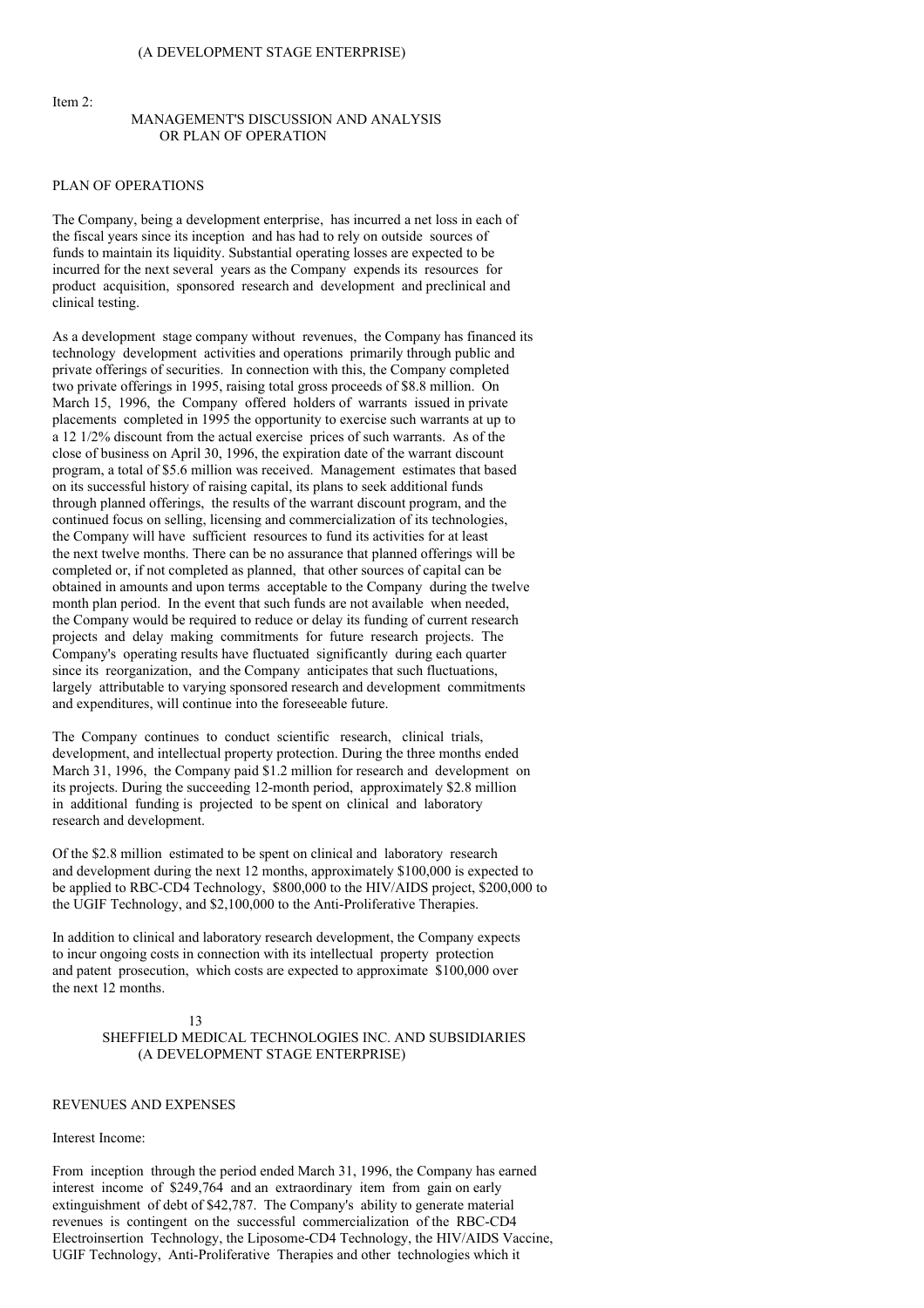Item 2:

## MANAGEMENT'S DISCUSSION AND ANALYSIS OR PLAN OF OPERATION

#### PLAN OF OPERATIONS

The Company, being a development enterprise, has incurred a net loss in each of the fiscal years since its inception and has had to rely on outside sources of funds to maintain its liquidity. Substantial operating losses are expected to be incurred for the next several years as the Company expends its resources for product acquisition, sponsored research and development and preclinical and clinical testing.

As a development stage company without revenues, the Company has financed its technology development activities and operations primarily through public and private offerings of securities. In connection with this, the Company completed two private offerings in 1995, raising total gross proceeds of \$8.8 million. On March 15, 1996, the Company offered holders of warrants issued in private placements completed in 1995 the opportunity to exercise such warrants at up to a 12 1/2% discount from the actual exercise prices of such warrants. As of the close of business on April 30, 1996, the expiration date of the warrant discount program, a total of \$5.6 million was received. Management estimates that based on its successful history of raising capital, its plans to seek additional funds through planned offerings, the results of the warrant discount program, and the continued focus on selling, licensing and commercialization of its technologies, the Company will have sufficient resources to fund its activities for at least the next twelve months. There can be no assurance that planned offerings will be completed or, if not completed as planned, that other sources of capital can be obtained in amounts and upon terms acceptable to the Company during the twelve month plan period. In the event that such funds are not available when needed, the Company would be required to reduce or delay its funding of current research projects and delay making commitments for future research projects. The Company's operating results have fluctuated significantly during each quarter since its reorganization, and the Company anticipates that such fluctuations, largely attributable to varying sponsored research and development commitments and expenditures, will continue into the foreseeable future.

The Company continues to conduct scientific research, clinical trials, development, and intellectual property protection. During the three months ended March 31, 1996, the Company paid \$1.2 million for research and development on its projects. During the succeeding 12-month period, approximately \$2.8 million in additional funding is projected to be spent on clinical and laboratory research and development.

Of the \$2.8 million estimated to be spent on clinical and laboratory research and development during the next 12 months, approximately \$100,000 is expected to be applied to RBC-CD4 Technology, \$800,000 to the HIV/AIDS project, \$200,000 to the UGIF Technology, and \$2,100,000 to the Anti-Proliferative Therapies.

In addition to clinical and laboratory research development, the Company expects to incur ongoing costs in connection with its intellectual property protection and patent prosecution, which costs are expected to approximate \$100,000 over the next 12 months.

#### 13 SHEFFIELD MEDICAL TECHNOLOGIES INC. AND SUBSIDIARIES (A DEVELOPMENT STAGE ENTERPRISE)

#### REVENUES AND EXPENSES

## Interest Income:

From inception through the period ended March 31, 1996, the Company has earned interest income of \$249,764 and an extraordinary item from gain on early extinguishment of debt of \$42,787. The Company's ability to generate material revenues is contingent on the successful commercialization of the RBC-CD4 Electroinsertion Technology, the Liposome-CD4 Technology, the HIV/AIDS Vaccine, UGIF Technology, Anti-Proliferative Therapies and other technologies which it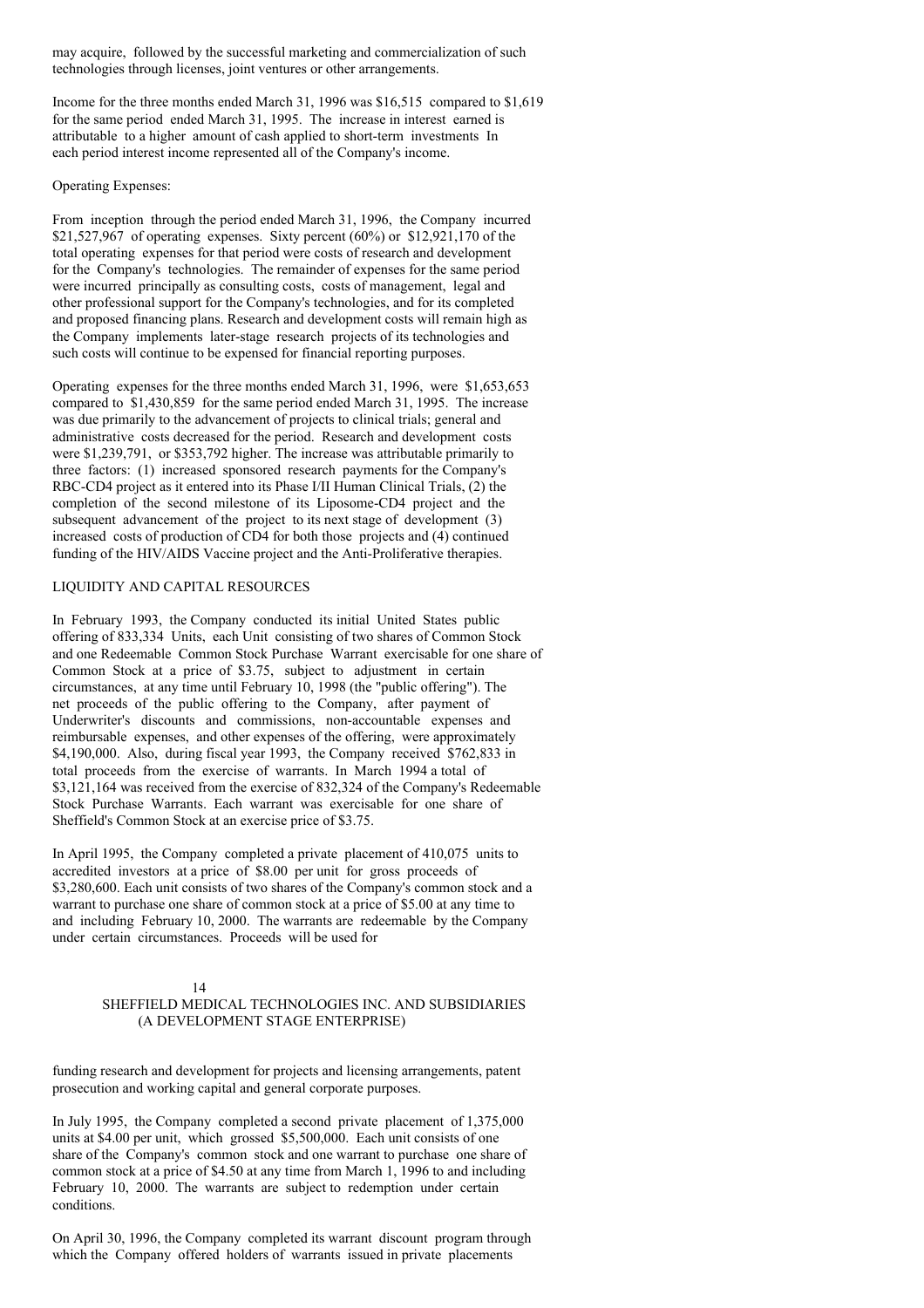may acquire, followed by the successful marketing and commercialization of such technologies through licenses, joint ventures or other arrangements.

Income for the three months ended March 31, 1996 was \$16,515 compared to \$1,619 for the same period ended March 31, 1995. The increase in interest earned is attributable to a higher amount of cash applied to short-term investments In each period interest income represented all of the Company's income.

#### Operating Expenses:

From inception through the period ended March 31, 1996, the Company incurred \$21,527,967 of operating expenses. Sixty percent  $(60\%)$  or \$12,921,170 of the total operating expenses for that period were costs of research and development for the Company's technologies. The remainder of expenses for the same period were incurred principally as consulting costs, costs of management, legal and other professional support for the Company's technologies, and for its completed and proposed financing plans. Research and development costs will remain high as the Company implements later-stage research projects of its technologies and such costs will continue to be expensed for financial reporting purposes.

Operating expenses for the three months ended March 31, 1996, were \$1,653,653 compared to \$1,430,859 for the same period ended March 31, 1995. The increase was due primarily to the advancement of projects to clinical trials; general and administrative costs decreased for the period. Research and development costs were \$1,239,791, or \$353,792 higher. The increase was attributable primarily to three factors: (1) increased sponsored research payments for the Company's RBC-CD4 project as it entered into its Phase I/II Human Clinical Trials, (2) the completion of the second milestone of its Liposome-CD4 project and the subsequent advancement of the project to its next stage of development (3) increased costs of production of CD4 for both those projects and (4) continued funding of the HIV/AIDS Vaccine project and the Anti-Proliferative therapies.

## LIQUIDITY AND CAPITAL RESOURCES

In February 1993, the Company conducted its initial United States public offering of 833,334 Units, each Unit consisting of two shares of Common Stock and one Redeemable Common Stock Purchase Warrant exercisable for one share of Common Stock at a price of \$3.75, subject to adjustment in certain circumstances, at any time until February 10, 1998 (the "public offering"). The net proceeds of the public offering to the Company, after payment of Underwriter's discounts and commissions, non-accountable expenses and reimbursable expenses, and other expenses of the offering, were approximately \$4,190,000. Also, during fiscal year 1993, the Company received \$762,833 in total proceeds from the exercise of warrants. In March 1994 a total of \$3,121,164 was received from the exercise of 832,324 of the Company's Redeemable Stock Purchase Warrants. Each warrant was exercisable for one share of Sheffield's Common Stock at an exercise price of \$3.75.

In April 1995, the Company completed a private placement of 410,075 units to accredited investors at a price of \$8.00 per unit for gross proceeds of \$3,280,600. Each unit consists of two shares of the Company's common stock and a warrant to purchase one share of common stock at a price of \$5.00 at any time to and including February 10, 2000. The warrants are redeemable by the Company under certain circumstances. Proceeds will be used for

#### 14

# SHEFFIELD MEDICAL TECHNOLOGIES INC. AND SUBSIDIARIES (A DEVELOPMENT STAGE ENTERPRISE)

funding research and development for projects and licensing arrangements, patent prosecution and working capital and general corporate purposes.

In July 1995, the Company completed a second private placement of 1,375,000 units at \$4.00 per unit, which grossed \$5,500,000. Each unit consists of one share of the Company's common stock and one warrant to purchase one share of common stock at a price of \$4.50 at any time from March 1, 1996 to and including February 10, 2000. The warrants are subject to redemption under certain conditions.

On April 30, 1996, the Company completed its warrant discount program through which the Company offered holders of warrants issued in private placements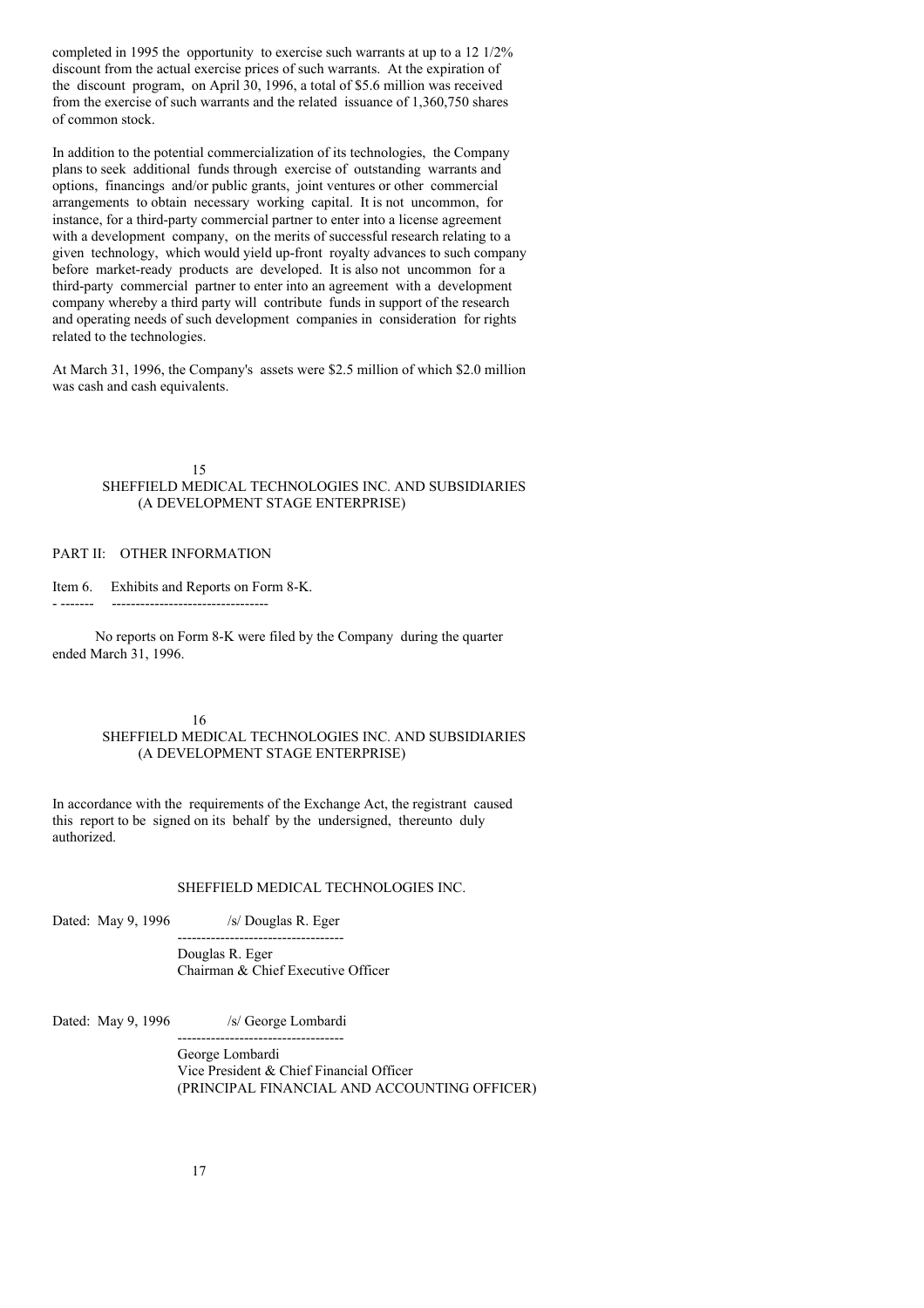completed in 1995 the opportunity to exercise such warrants at up to a 12 1/2% discount from the actual exercise prices of such warrants. At the expiration of the discount program, on April 30, 1996, a total of \$5.6 million was received from the exercise of such warrants and the related issuance of 1,360,750 shares of common stock.

In addition to the potential commercialization of its technologies, the Company plans to seek additional funds through exercise of outstanding warrants and options, financings and/or public grants, joint ventures or other commercial arrangements to obtain necessary working capital. It is not uncommon, for instance, for a third-party commercial partner to enter into a license agreement with a development company, on the merits of successful research relating to a given technology, which would yield up-front royalty advances to such company before market-ready products are developed. It is also not uncommon for a third-party commercial partner to enter into an agreement with a development company whereby a third party will contribute funds in support of the research and operating needs of such development companies in consideration for rights related to the technologies.

At March 31, 1996, the Company's assets were \$2.5 million of which \$2.0 million was cash and cash equivalents.

## 15 SHEFFIELD MEDICAL TECHNOLOGIES INC. AND SUBSIDIARIES (A DEVELOPMENT STAGE ENTERPRISE)

## PART II: OTHER INFORMATION

Item 6. Exhibits and Reports on Form 8-K.

- ------- ---------------------------------

No reports on Form 8-K were filed by the Company during the quarter ended March 31, 1996.

## 16

## SHEFFIELD MEDICAL TECHNOLOGIES INC. AND SUBSIDIARIES (A DEVELOPMENT STAGE ENTERPRISE)

In accordance with the requirements of the Exchange Act, the registrant caused this report to be signed on its behalf by the undersigned, thereunto duly authorized.

#### SHEFFIELD MEDICAL TECHNOLOGIES INC.

Dated: May 9, 1996 /s/ Douglas R. Eger

Douglas R. Eger Chairman & Chief Executive Officer

-----------------------------------

Dated: May 9, 1996 /s/ George Lombardi

----------------------------------- George Lombardi Vice President & Chief Financial Officer (PRINCIPAL FINANCIAL AND ACCOUNTING OFFICER)